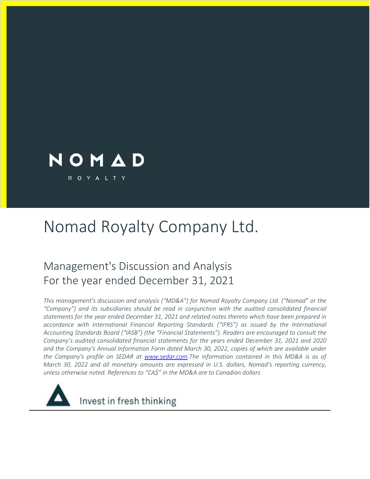

# Nomad Royalty Company Ltd.

## Management's Discussion and Analysis For the year ended December 31, 2021

*This management's discussion and analysis ("MD&A") for Nomad Royalty Company Ltd. ("Nomad" or the "Company") and its subsidiaries should be read in conjunction with the audited consolidated financial statements for the year ended December 31, 2021 and related notes thereto which have been prepared in accordance with International Financial Reporting Standards ("IFRS") as issued by the International Accounting Standards Board ("IASB") (the "Financial Statements"). Readers are encouraged to consult the Company's audited consolidated financial statements for the years ended December 31, 2021 and 2020 and the Company's Annual Information Form dated March 30, 2022, copies of which are available under the Company's profile on SEDAR at www.sedar.com.The information contained in this MD&A is as of March 30, 2022 and all monetary amounts are expressed in U.S. dollars, Nomad's reporting currency, unless otherwise noted. References to "CA\$" in the MD&A are to Canadian dollars*

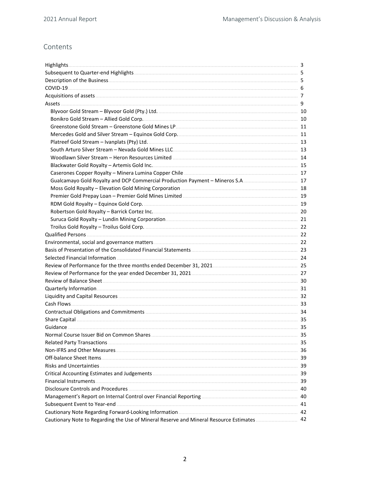## Contents

|                                                                                            | 35 |
|--------------------------------------------------------------------------------------------|----|
|                                                                                            | 35 |
|                                                                                            |    |
|                                                                                            |    |
|                                                                                            | 39 |
|                                                                                            | 39 |
|                                                                                            | 39 |
|                                                                                            | 40 |
|                                                                                            | 40 |
|                                                                                            |    |
|                                                                                            |    |
| Cautionary Note to Regarding the Use of Mineral Reserve and Mineral Resource Estimates  42 |    |
|                                                                                            |    |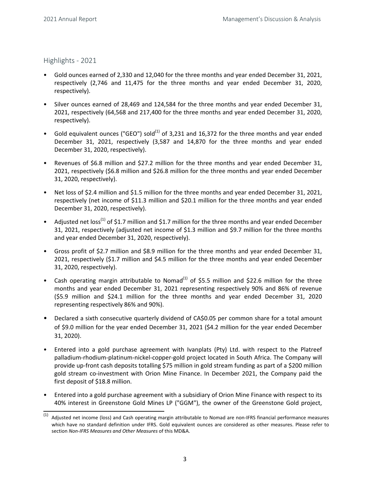<span id="page-2-0"></span>Highlights - 2021

- Gold ounces earned of 2,330 and 12,040 for the three months and year ended December 31, 2021, respectively (2,746 and 11,475 for the three months and year ended December 31, 2020, respectively).
- Silver ounces earned of 28,469 and 124,584 for the three months and year ended December 31, 2021, respectively (64,568 and 217,400 for the three months and year ended December 31, 2020, respectively).
- Gold equivalent ounces ("GEO") sold<sup>(1)</sup> of 3,231 and 16,372 for the three months and year ended December 31, 2021, respectively (3,587 and 14,870 for the three months and year ended December 31, 2020, respectively).
- Revenues of \$6.8 million and \$27.2 million for the three months and year ended December 31, 2021, respectively (\$6.8 million and \$26.8 million for the three months and year ended December 31, 2020, respectively).
- Net loss of \$2.4 million and \$1.5 million for the three months and year ended December 31, 2021, respectively (net income of \$11.3 million and \$20.1 million for the three months and year ended December 31, 2020, respectively).
- Adjusted net  $loss^{(1)}$  of \$1.7 million and \$1.7 million for the three months and year ended December 31, 2021, respectively (adjusted net income of \$1.3 million and \$9.7 million for the three months and year ended December 31, 2020, respectively).
- Gross profit of \$2.7 million and \$8.9 million for the three months and year ended December 31, 2021, respectively (\$1.7 million and \$4.5 million for the three months and year ended December 31, 2020, respectively).
- Cash operating margin attributable to Nomad<sup>(1)</sup> of \$5.5 million and \$22.6 million for the three months and year ended December 31, 2021 representing respectively 90% and 86% of revenue (\$5.9 million and \$24.1 million for the three months and year ended December 31, 2020 representing respectively 86% and 90%).
- Declared a sixth consecutive quarterly dividend of CA\$0.05 per common share for a total amount of \$9.0 million for the year ended December 31, 2021 (\$4.2 million for the year ended December 31, 2020).
- Entered into a gold purchase agreement with Ivanplats (Pty) Ltd. with respect to the Platreef palladium-rhodium-platinum-nickel-copper-gold project located in South Africa. The Company will provide up-front cash deposits totalling \$75 million in gold stream funding as part of a \$200 million gold stream co-investment with Orion Mine Finance. In December 2021, the Company paid the first deposit of \$18.8 million.
- Entered into a gold purchase agreement with a subsidiary of Orion Mine Finance with respect to its 40% interest in Greenstone Gold Mines LP ("GGM"), the owner of the Greenstone Gold project,

 $(1)$  Adjusted net income (loss) and Cash operating margin attributable to Nomad are non-IFRS financial performance measures which have no standard definition under IFRS. Gold equivalent ounces are considered as other measures. Please refer to section Non-IFRS Measures and Other Measures of this MD&A.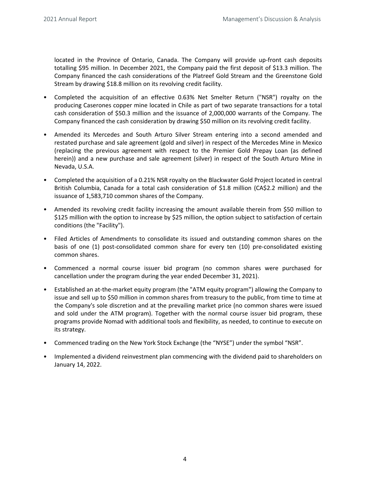located in the Province of Ontario, Canada. The Company will provide up-front cash deposits totalling \$95 million. In December 2021, the Company paid the first deposit of \$13.3 million. The Company financed the cash considerations of the Platreef Gold Stream and the Greenstone Gold Stream by drawing \$18.8 million on its revolving credit facility.

- Completed the acquisition of an effective 0.63% Net Smelter Return ("NSR") royalty on the producing Caserones copper mine located in Chile as part of two separate transactions for a total cash consideration of \$50.3 million and the issuance of 2,000,000 warrants of the Company. The Company financed the cash consideration by drawing \$50 million on its revolving credit facility.
- Amended its Mercedes and South Arturo Silver Stream entering into a second amended and restated purchase and sale agreement (gold and silver) in respect of the Mercedes Mine in Mexico (replacing the previous agreement with respect to the Premier Gold Prepay Loan (as defined herein)) and a new purchase and sale agreement (silver) in respect of the South Arturo Mine in Nevada, U.S.A.
- Completed the acquisition of a 0.21% NSR royalty on the Blackwater Gold Project located in central British Columbia, Canada for a total cash consideration of \$1.8 million ( $CA$2.2$  million) and the issuance of 1,583,710 common shares of the Company.
- Amended its revolving credit facility increasing the amount available therein from \$50 million to \$125 million with the option to increase by \$25 million, the option subject to satisfaction of certain conditions (the "Facility").
- Filed Articles of Amendments to consolidate its issued and outstanding common shares on the basis of one (1) post-consolidated common share for every ten (10) pre-consolidated existing common shares.
- Commenced a normal course issuer bid program (no common shares were purchased for cancellation under the program during the year ended December 31, 2021).
- Established an at-the-market equity program (the "ATM equity program") allowing the Company to issue and sell up to \$50 million in common shares from treasury to the public, from time to time at the Company's sole discretion and at the prevailing market price (no common shares were issued and sold under the ATM program). Together with the normal course issuer bid program, these programs provide Nomad with additional tools and flexibility, as needed, to continue to execute on its strategy.
- Commenced trading on the New York Stock Exchange (the "NYSE") under the symbol "NSR".
- Implemented a dividend reinvestment plan commencing with the dividend paid to shareholders on January 14, 2022.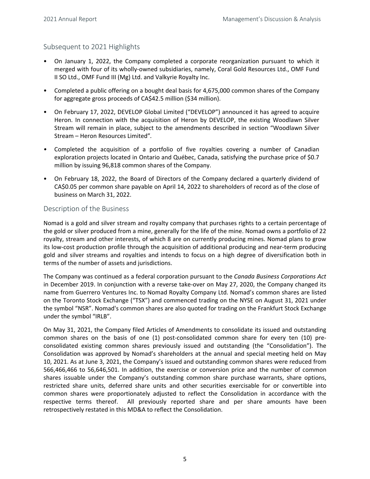## <span id="page-4-0"></span>Subsequent to 2021 Highlights

- On January 1, 2022, the Company completed a corporate reorganization pursuant to which it merged with four of its wholly-owned subsidiaries, namely, Coral Gold Resources Ltd., OMF Fund II SO Ltd., OMF Fund III (Mg) Ltd. and Valkyrie Royalty Inc.
- Completed a public offering on a bought deal basis for 4,675,000 common shares of the Company for aggregate gross proceeds of CA\$42.5 million (\$34 million).
- On February 17, 2022, DEVELOP Global Limited ("DEVELOP") announced it has agreed to acquire Heron. In connection with the acquisition of Heron by DEVELOP, the existing Woodlawn Silver Stream will remain in place, subject to the amendments described in section "Woodlawn Silver Stream – Heron Resources Limited"*.*
- Completed the acquisition of a portfolio of five royalties covering a number of Canadian exploration projects located in Ontario and Québec, Canada, satisfying the purchase price of \$0.7 million by issuing 96,818 common shares of the Company.
- On February 18, 2022, the Board of Directors of the Company declared a quarterly dividend of CA\$0.05 per common share payable on April 14, 2022 to shareholders of record as of the close of business on March 31, 2022.

#### Description of the Business

Nomad is a gold and silver stream and royalty company that purchases rights to a certain percentage of the gold or silver produced from a mine, generally for the life of the mine. Nomad owns a portfolio of 22 royalty, stream and other interests, of which 8 are on currently producing mines. Nomad plans to grow its low-cost production profile through the acquisition of additional producing and near-term producing gold and silver streams and royalties and intends to focus on a high degree of diversification both in terms of the number of assets and jurisdictions.

The Company was continued as a federal corporation pursuant to the *Canada Business Corporations Act* in December 2019. In conjunction with a reverse take-over on May 27, 2020, the Company changed its name from Guerrero Ventures Inc. to Nomad Royalty Company Ltd. Nomad's common shares are listed on the Toronto Stock Exchange ("TSX") and commenced trading on the NYSE on August 31, 2021 under the symbol "NSR". Nomad's common shares are also quoted for trading on the Frankfurt Stock Exchange under the symbol "IRLB".

On May 31, 2021, the Company filed Articles of Amendments to consolidate its issued and outstanding common shares on the basis of one (1) post-consolidated common share for every ten (10) preconsolidated existing common shares previously issued and outstanding (the "Consolidation"). The Consolidation was approved by Nomad's shareholders at the annual and special meeting held on May 10, 2021. As at June 3, 2021, the Company's issued and outstanding common shares were reduced from 566,466,466 to 56,646,501. In addition, the exercise or conversion price and the number of common shares issuable under the Company's outstanding common share purchase warrants, share options, restricted share units, deferred share units and other securities exercisable for or convertible into common shares were proportionately adjusted to reflect the Consolidation in accordance with the respective terms thereof. All previously reported share and per share amounts have been retrospectively restated in this MD&A to reflect the Consolidation.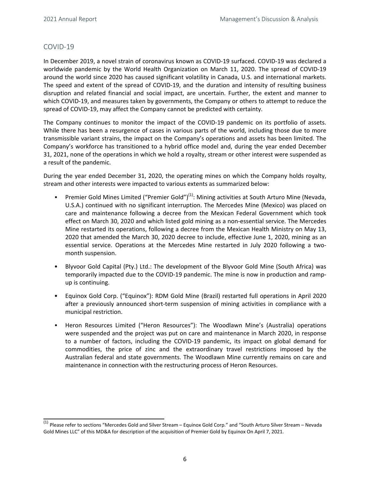## <span id="page-5-0"></span>COVID-19

In December 2019, a novel strain of coronavirus known as COVID-19 surfaced. COVID-19 was declared a worldwide pandemic by the World Health Organization on March 11, 2020. The spread of COVID-19 around the world since 2020 has caused significant volatility in Canada, U.S. and international markets. The speed and extent of the spread of COVID-19, and the duration and intensity of resulting business disruption and related financial and social impact, are uncertain. Further, the extent and manner to which COVID-19, and measures taken by governments, the Company or others to attempt to reduce the spread of COVID-19, may affect the Company cannot be predicted with certainty.

The Company continues to monitor the impact of the COVID-19 pandemic on its portfolio of assets. While there has been a resurgence of cases in various parts of the world, including those due to more transmissible variant strains, the impact on the Company's operations and assets has been limited. The Company's workforce has transitioned to a hybrid office model and, during the year ended December 31, 2021, none of the operations in which we hold a royalty, stream or other interest were suspended as a result of the pandemic.

During the year ended December 31, 2020, the operating mines on which the Company holds royalty, stream and other interests were impacted to various extents as summarized below:

- Premier Gold Mines Limited ("Premier Gold")<sup>(1)</sup>: Mining activities at South Arturo Mine (Nevada, U.S.A.) continued with no significant interruption. The Mercedes Mine (Mexico) was placed on care and maintenance following a decree from the Mexican Federal Government which took effect on March 30, 2020 and which listed gold mining as a non-essential service. The Mercedes Mine restarted its operations, following a decree from the Mexican Health Ministry on May 13, 2020 that amended the March 30, 2020 decree to include, effective June 1, 2020, mining as an essential service. Operations at the Mercedes Mine restarted in July 2020 following a twomonth suspension.
- Blyvoor Gold Capital (Pty.) Ltd.: The development of the Blyvoor Gold Mine (South Africa) was temporarily impacted due to the COVID-19 pandemic. The mine is now in production and rampup is continuing.
- Equinox Gold Corp. ("Equinox"): RDM Gold Mine (Brazil) restarted full operations in April 2020 after a previously announced short-term suspension of mining activities in compliance with a municipal restriction.
- Heron Resources Limited ("Heron Resources"): The Woodlawn Mine's (Australia) operations were suspended and the project was put on care and maintenance in March 2020, in response to a number of factors, including the COVID-19 pandemic, its impact on global demand for commodities, the price of zinc and the extraordinary travel restrictions imposed by the Australian federal and state governments. The Woodlawn Mine currently remains on care and maintenance in connection with the restructuring process of Heron Resources.

 $(1)$  Please refer to sections "Mercedes Gold and Silver Stream – Equinox Gold Corp." and "South Arturo Silver Stream – Nevada Gold Mines LLC" of this MD&A for description of the acquisition of Premier Gold by Equinox On April 7, 2021.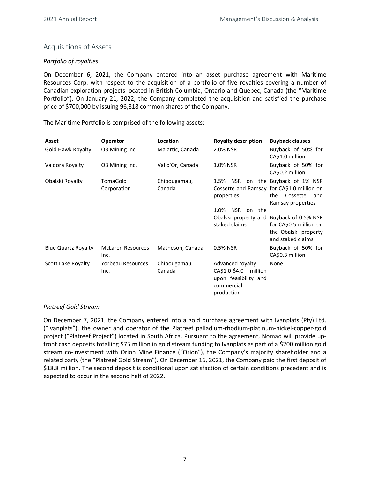## <span id="page-6-0"></span>Acquisitions of Assets

## *Portfolio of royalties*

On December 6, 2021, the Company entered into an asset purchase agreement with Maritime Resources Corp. with respect to the acquisition of a portfolio of five royalties covering a number of Canadian exploration projects located in British Columbia, Ontario and Quebec, Canada (the "Maritime Portfolio"). On January 21, 2022, the Company completed the acquisition and satisfied the purchase price of \$700,000 by issuing 96,818 common shares of the Company.

| Asset                      | <b>Operator</b>                  | Location               | <b>Royalty description</b>                                                                       | <b>Buyback clauses</b>                                                                                             |
|----------------------------|----------------------------------|------------------------|--------------------------------------------------------------------------------------------------|--------------------------------------------------------------------------------------------------------------------|
| Gold Hawk Royalty          | O3 Mining Inc.                   | Malartic, Canada       | 2.0% NSR                                                                                         | Buyback of 50% for<br>CA\$1.0 million                                                                              |
| Valdora Royalty            | 03 Mining Inc.                   | Val d'Or, Canada       | 1.0% NSR                                                                                         | Buyback of 50% for<br>CA\$0.2 million                                                                              |
| Obalski Royalty            | TomaGold<br>Corporation          | Chibougamau,<br>Canada | 1.5%<br>NSR<br>on<br>properties<br><b>NSR</b><br>1.0%<br>the<br><sub>on</sub>                    | the Buyback of 1% NSR<br>Cossette and Ramsay for CA\$1.0 million on<br>Cossette<br>the<br>and<br>Ramsay properties |
|                            |                                  |                        | Obalski property and<br>staked claims                                                            | Buyback of 0.5% NSR<br>for CA\$0.5 million on<br>the Obalski property<br>and staked claims                         |
| <b>Blue Quartz Royalty</b> | <b>McLaren Resources</b><br>Inc. | Matheson, Canada       | 0.5% NSR                                                                                         | Buyback of 50% for<br>CA\$0.3 million                                                                              |
| Scott Lake Royalty         | Yorbeau Resources<br>Inc.        | Chibougamau,<br>Canada | Advanced royalty<br>CA\$1.0-\$4.0<br>million<br>upon feasibility and<br>commercial<br>production | None                                                                                                               |

The Maritime Portfolio is comprised of the following assets:

#### *Platreef Gold Stream*

On December 7, 2021, the Company entered into a gold purchase agreement with Ivanplats (Pty) Ltd. ("Ivanplats"), the owner and operator of the Platreef palladium-rhodium-platinum-nickel-copper-gold project ("Platreef Project") located in South Africa. Pursuant to the agreement, Nomad will provide upfront cash deposits totalling \$75 million in gold stream funding to Ivanplats as part of a \$200 million gold stream co-investment with Orion Mine Finance ("Orion"), the Company's majority shareholder and a related party (the "Platreef Gold Stream"). On December 16, 2021, the Company paid the first deposit of \$18.8 million. The second deposit is conditional upon satisfaction of certain conditions precedent and is expected to occur in the second half of 2022.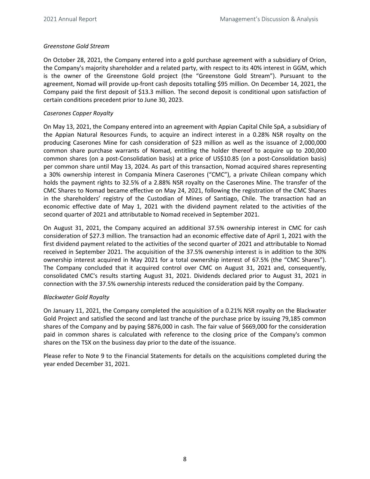## <span id="page-7-0"></span>*Greenstone Gold Stream*

On October 28, 2021, the Company entered into a gold purchase agreement with a subsidiary of Orion, the Company's majority shareholder and a related party, with respect to its 40% interest in GGM, which is the owner of the Greenstone Gold project (the "Greenstone Gold Stream"). Pursuant to the agreement, Nomad will provide up-front cash deposits totalling \$95 million. On December 14, 2021, the Company paid the first deposit of \$13.3 million. The second deposit is conditional upon satisfaction of certain conditions precedent prior to June 30, 2023.

#### *Caserones Copper Royalty*

On May 13, 2021, the Company entered into an agreement with Appian Capital Chile SpA, a subsidiary of the Appian Natural Resources Funds, to acquire an indirect interest in a 0.28% NSR royalty on the producing Caserones Mine for cash consideration of \$23 million as well as the issuance of 2,000,000 common share purchase warrants of Nomad, entitling the holder thereof to acquire up to 200,000 common shares (on a post-Consolidation basis) at a price of US\$10.85 (on a post-Consolidation basis) per common share until May 13, 2024. As part of this transaction, Nomad acquired shares representing a 30% ownership interest in Compania Minera Caserones ("CMC"), a private Chilean company which holds the payment rights to 32.5% of a 2.88% NSR royalty on the Caserones Mine. The transfer of the CMC Shares to Nomad became effective on May 24, 2021, following the registration of the CMC Shares in the shareholders' registry of the Custodian of Mines of Santiago, Chile. The transaction had an economic effective date of May 1, 2021 with the dividend payment related to the activities of the second quarter of 2021 and attributable to Nomad received in September 2021.

On August 31, 2021, the Company acquired an additional 37.5% ownership interest in CMC for cash consideration of \$27.3 million. The transaction had an economic effective date of April 1, 2021 with the first dividend payment related to the activities of the second quarter of 2021 and attributable to Nomad received in September 2021. The acquisition of the 37.5% ownership interest is in addition to the 30% ownership interest acquired in May 2021 for a total ownership interest of 67.5% (the "CMC Shares"). The Company concluded that it acquired control over CMC on August 31, 2021 and, consequently, consolidated CMC's results starting August 31, 2021. Dividends declared prior to August 31, 2021 in connection with the 37.5% ownership interests reduced the consideration paid by the Company.

#### *Blackwater Gold Royalty*

On January 11, 2021, the Company completed the acquisition of a 0.21% NSR royalty on the Blackwater Gold Project and satisfied the second and last tranche of the purchase price by issuing 79,185 common shares of the Company and by paying \$876,000 in cash. The fair value of \$669,000 for the consideration paid in common shares is calculated with reference to the closing price of the Company's common shares on the TSX on the business day prior to the date of the issuance.

Please refer to Note 9 to the Financial Statements for details on the acquisitions completed during the year ended December 31, 2021.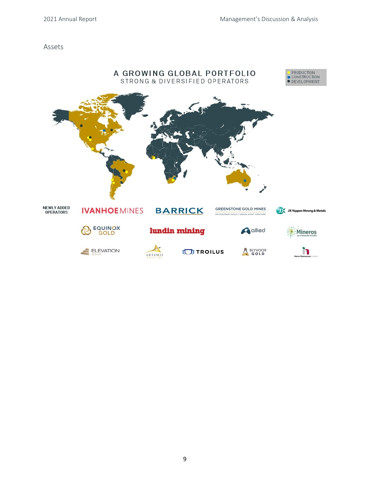#### Assets

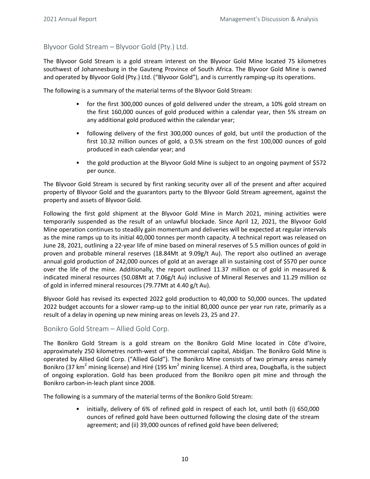## <span id="page-9-0"></span>Blyvoor Gold Stream – Blyvoor Gold (Pty.) Ltd.

The Blyvoor Gold Stream is a gold stream interest on the Blyvoor Gold Mine located 75 kilometres southwest of Johannesburg in the Gauteng Province of South Africa. The Blyvoor Gold Mine is owned and operated by Blyvoor Gold (Pty.) Ltd. ("Blyvoor Gold"), and is currently ramping-up its operations.

The following is a summary of the material terms of the Blyvoor Gold Stream:

- for the first 300,000 ounces of gold delivered under the stream, a 10% gold stream on the first 160,000 ounces of gold produced within a calendar year, then 5% stream on any additional gold produced within the calendar year;
- following delivery of the first 300,000 ounces of gold, but until the production of the first 10.32 million ounces of gold, a 0.5% stream on the first 100,000 ounces of gold produced in each calendar year; and
- the gold production at the Blyvoor Gold Mine is subject to an ongoing payment of \$572 per ounce.

The Blyvoor Gold Stream is secured by first ranking security over all of the present and after acquired property of Blyvoor Gold and the guarantors party to the Blyvoor Gold Stream agreement, against the property and assets of Blyvoor Gold.

Following the first gold shipment at the Blyvoor Gold Mine in March 2021, mining activities were temporarily suspended as the result of an unlawful blockade. Since April 12, 2021, the Blyvoor Gold Mine operation continues to steadily gain momentum and deliveries will be expected at regular intervals as the mine ramps up to its initial 40,000 tonnes per month capacity. A technical report was released on June 28, 2021, outlining a 22-year life of mine based on mineral reserves of 5.5 million ounces of gold in proven and probable mineral reserves  $(18.84Mt$  at  $9.09g/t$  Au). The report also outlined an average annual gold production of 242,000 ounces of gold at an average all in sustaining cost of \$570 per ounce over the life of the mine. Additionally, the report outlined 11.37 million oz of gold in measured & indicated mineral resources (50.08Mt at 7.06g/t Au) inclusive of Mineral Reserves and 11.29 million oz of gold in inferred mineral resources (79.77Mt at 4.40 g/t Au).

Blyvoor Gold has revised its expected 2022 gold production to 40,000 to 50,000 ounces. The updated 2022 budget accounts for a slower ramp-up to the initial 80,000 ounce per year run rate, primarily as a result of a delay in opening up new mining areas on levels 23, 25 and 27.

## Bonikro Gold Stream – Allied Gold Corp.

The Bonikro Gold Stream is a gold stream on the Bonikro Gold Mine located in Côte d'Ivoire, approximately 250 kilometres north-west of the commercial capital, Abidjan. The Bonikro Gold Mine is operated by Allied Gold Corp. ("Allied Gold"). The Bonikro Mine consists of two primary areas namely Bonikro (37 km<sup>2</sup> mining license) and Hiré (195 km<sup>2</sup> mining license). A third area, Dougbafla, is the subject of ongoing exploration. Gold has been produced from the Bonikro open pit mine and through the Bonikro carbon-in-leach plant since 2008.

The following is a summary of the material terms of the Bonikro Gold Stream:

• initially, delivery of 6% of refined gold in respect of each lot, until both (i) 650,000 ounces of refined gold have been outturned following the closing date of the stream agreement; and (ii) 39,000 ounces of refined gold have been delivered;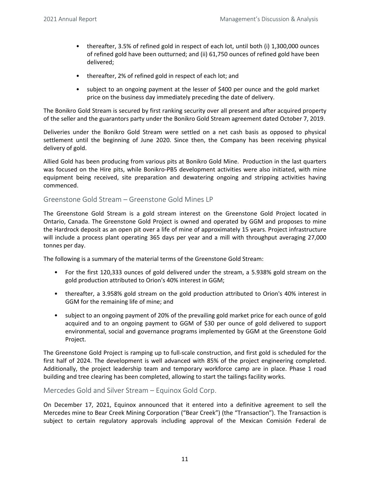- thereafter, 3.5% of refined gold in respect of each lot, until both (i) 1,300,000 ounces of refined gold have been outturned; and (ii) 61,750 ounces of refined gold have been delivered;
- thereafter, 2% of refined gold in respect of each lot; and
- subject to an ongoing payment at the lesser of \$400 per ounce and the gold market price on the business day immediately preceding the date of delivery.

The Bonikro Gold Stream is secured by first ranking security over all present and after acquired property of the seller and the guarantors party under the Bonikro Gold Stream agreement dated October 7, 2019.

Deliveries under the Bonikro Gold Stream were settled on a net cash basis as opposed to physical settlement until the beginning of June 2020. Since then, the Company has been receiving physical delivery of gold.

Allied Gold has been producing from various pits at Bonikro Gold Mine. Production in the last quarters was focused on the Hire pits, while Bonikro-PB5 development activities were also initiated, with mine equipment being received, site preparation and dewatering ongoing and stripping activities having commenced.

## Greenstone Gold Stream – Greenstone Gold Mines LP

The Greenstone Gold Stream is a gold stream interest on the Greenstone Gold Project located in Ontario, Canada. The Greenstone Gold Project is owned and operated by GGM and proposes to mine the Hardrock deposit as an open pit over a life of mine of approximately 15 years. Project infrastructure will include a process plant operating 365 days per year and a mill with throughput averaging 27,000 tonnes per day.

The following is a summary of the material terms of the Greenstone Gold Stream:

- For the first 120,333 ounces of gold delivered under the stream, a 5.938% gold stream on the gold production attributed to Orion's 40% interest in GGM;
- thereafter, a 3.958% gold stream on the gold production attributed to Orion's 40% interest in GGM for the remaining life of mine; and
- subject to an ongoing payment of 20% of the prevailing gold market price for each ounce of gold acquired and to an ongoing payment to GGM of \$30 per ounce of gold delivered to support environmental, social and governance programs implemented by GGM at the Greenstone Gold Project.

The Greenstone Gold Project is ramping up to full-scale construction, and first gold is scheduled for the first half of 2024. The development is well advanced with 85% of the project engineering completed. Additionally, the project leadership team and temporary workforce camp are in place. Phase 1 road building and tree clearing has been completed, allowing to start the tailings facility works.

## Mercedes Gold and Silver Stream – Equinox Gold Corp.

On December 17, 2021, Equinox announced that it entered into a definitive agreement to sell the Mercedes mine to Bear Creek Mining Corporation ("Bear Creek") (the "Transaction"). The Transaction is subject to certain regulatory approvals including approval of the Mexican Comisión Federal de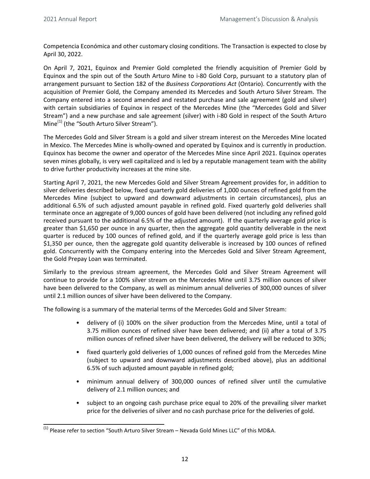Competencia Económica and other customary closing conditions. The Transaction is expected to close by April 30, 2022.

On April 7, 2021, Equinox and Premier Gold completed the friendly acquisition of Premier Gold by Equinox and the spin out of the South Arturo Mine to i-80 Gold Corp, pursuant to a statutory plan of arrangement pursuant to Section 182 of the *Business Corporations Act* (Ontario). Concurrently with the acquisition of Premier Gold, the Company amended its Mercedes and South Arturo Silver Stream. The Company entered into a second amended and restated purchase and sale agreement (gold and silver) with certain subsidiaries of Equinox in respect of the Mercedes Mine (the "Mercedes Gold and Silver Stream") and a new purchase and sale agreement (silver) with i-80 Gold in respect of the South Arturo Mine<sup>(1)</sup> (the "South Arturo Silver Stream").

The Mercedes Gold and Silver Stream is a gold and silver stream interest on the Mercedes Mine located in Mexico. The Mercedes Mine is wholly-owned and operated by Equinox and is currently in production. Equinox has become the owner and operator of the Mercedes Mine since April 2021. Equinox operates seven mines globally, is very well capitalized and is led by a reputable management team with the ability to drive further productivity increases at the mine site.

Starting April 7, 2021, the new Mercedes Gold and Silver Stream Agreement provides for, in addition to silver deliveries described below, fixed quarterly gold deliveries of 1,000 ounces of refined gold from the Mercedes Mine (subject to upward and downward adjustments in certain circumstances), plus an additional 6.5% of such adjusted amount payable in refined gold. Fixed quarterly gold deliveries shall terminate once an aggregate of 9,000 ounces of gold have been delivered (not including any refined gold received pursuant to the additional 6.5% of the adjusted amount). If the quarterly average gold price is greater than \$1,650 per ounce in any quarter, then the aggregate gold quantity deliverable in the next quarter is reduced by 100 ounces of refined gold, and if the quarterly average gold price is less than \$1,350 per ounce, then the aggregate gold quantity deliverable is increased by 100 ounces of refined gold. Concurrently with the Company entering into the Mercedes Gold and Silver Stream Agreement, the Gold Prepay Loan was terminated.

Similarly to the previous stream agreement, the Mercedes Gold and Silver Stream Agreement will continue to provide for a 100% silver stream on the Mercedes Mine until 3.75 million ounces of silver have been delivered to the Company, as well as minimum annual deliveries of 300,000 ounces of silver until 2.1 million ounces of silver have been delivered to the Company.

The following is a summary of the material terms of the Mercedes Gold and Silver Stream:

- delivery of (i) 100% on the silver production from the Mercedes Mine, until a total of 3.75 million ounces of refined silver have been delivered; and (ii) after a total of 3.75 million ounces of refined silver have been delivered, the delivery will be reduced to 30%;
- fixed quarterly gold deliveries of 1,000 ounces of refined gold from the Mercedes Mine (subject to upward and downward adjustments described above), plus an additional 6.5% of such adjusted amount payable in refined gold;
- minimum annual delivery of 300,000 ounces of refined silver until the cumulative delivery of 2.1 million ounces; and
- subject to an ongoing cash purchase price equal to 20% of the prevailing silver market price for the deliveries of silver and no cash purchase price for the deliveries of gold.

 $\overline{^{(1)}}$  Please refer to section "South Arturo Silver Stream – Nevada Gold Mines LLC" of this MD&A.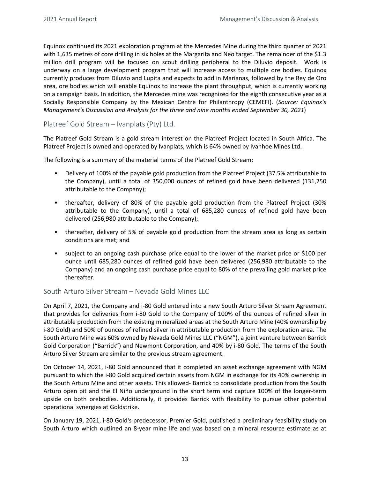Equinox continued its 2021 exploration program at the Mercedes Mine during the third quarter of 2021 with 1,635 metres of core drilling in six holes at the Margarita and Neo target. The remainder of the \$1.3 million drill program will be focused on scout drilling peripheral to the Diluvio deposit. Work is underway on a large development program that will increase access to multiple ore bodies. Equinox currently produces from Diluvio and Lupita and expects to add in Marianas, followed by the Rey de Oro area, ore bodies which will enable Equinox to increase the plant throughput, which is currently working on a campaign basis. In addition, the Mercedes mine was recognized for the eighth consecutive year as a Socially Responsible Company by the Mexican Centre for Philanthropy (CEMEFI). (Source: Equinox's *Management's Discussion and Analysis for the three and nine months ended September 30, 2021*)

Platreef Gold Stream – Ivanplats (Pty) Ltd.

The Platreef Gold Stream is a gold stream interest on the Platreef Project located in South Africa. The Platreef Project is owned and operated by Ivanplats, which is 64% owned by Ivanhoe Mines Ltd.

The following is a summary of the material terms of the Platreef Gold Stream:

- Delivery of 100% of the payable gold production from the Platreef Project (37.5% attributable to the Company), until a total of 350,000 ounces of refined gold have been delivered (131,250 attributable to the Company);
- thereafter, delivery of 80% of the payable gold production from the Platreef Project (30% attributable to the Company), until a total of 685,280 ounces of refined gold have been delivered (256,980 attributable to the Company);
- thereafter, delivery of 5% of payable gold production from the stream area as long as certain conditions are met; and
- subject to an ongoing cash purchase price equal to the lower of the market price or \$100 per ounce until 685,280 ounces of refined gold have been delivered (256,980 attributable to the Company) and an ongoing cash purchase price equal to 80% of the prevailing gold market price thereafter.

## South Arturo Silver Stream – Nevada Gold Mines LLC

On April 7, 2021, the Company and i-80 Gold entered into a new South Arturo Silver Stream Agreement that provides for deliveries from i-80 Gold to the Company of 100% of the ounces of refined silver in attributable production from the existing mineralized areas at the South Arturo Mine (40% ownership by i-80 Gold) and 50% of ounces of refined silver in attributable production from the exploration area. The South Arturo Mine was 60% owned by Nevada Gold Mines LLC ("NGM"), a joint venture between Barrick Gold Corporation ("Barrick") and Newmont Corporation, and 40% by i-80 Gold. The terms of the South Arturo Silver Stream are similar to the previous stream agreement.

On October 14, 2021, i-80 Gold announced that it completed an asset exchange agreement with NGM pursuant to which the i-80 Gold acquired certain assets from NGM in exchange for its 40% ownership in the South Arturo Mine and other assets. This allowed- Barrick to consolidate production from the South Arturo open pit and the El Niño underground in the short term and capture 100% of the longer-term upside on both orebodies. Additionally, it provides Barrick with flexibility to pursue other potential operational synergies at Goldstrike.

On January 19, 2021, i-80 Gold's predecessor, Premier Gold, published a preliminary feasibility study on South Arturo which outlined an 8-year mine life and was based on a mineral resource estimate as at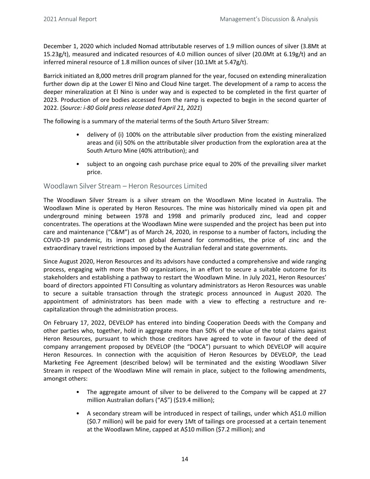December 1, 2020 which included Nomad attributable reserves of 1.9 million ounces of silver (3.8Mt at 15.23g/t), measured and indicated resources of 4.0 million ounces of silver (20.0Mt at 6.19g/t) and an inferred mineral resource of 1.8 million ounces of silver (10.1Mt at 5.47g/t).

Barrick initiated an 8,000 metres drill program planned for the year, focused on extending mineralization further down dip at the Lower El Nino and Cloud Nine target. The development of a ramp to access the deeper mineralization at El Nino is under way and is expected to be completed in the first quarter of 2023. Production of ore bodies accessed from the ramp is expected to begin in the second quarter of 2022. (Source: i-80 Gold press release dated April 21, 2021)

The following is a summary of the material terms of the South Arturo Silver Stream:

- delivery of (i) 100% on the attributable silver production from the existing mineralized areas and (ii) 50% on the attributable silver production from the exploration area at the South Arturo Mine (40% attribution); and
- subject to an ongoing cash purchase price equal to 20% of the prevailing silver market price.

## Woodlawn Silver Stream – Heron Resources Limited

The Woodlawn Silver Stream is a silver stream on the Woodlawn Mine located in Australia. The Woodlawn Mine is operated by Heron Resources. The mine was historically mined via open pit and underground mining between 1978 and 1998 and primarily produced zinc, lead and copper concentrates. The operations at the Woodlawn Mine were suspended and the project has been put into care and maintenance ("C&M") as of March 24, 2020, in response to a number of factors, including the COVID-19 pandemic, its impact on global demand for commodities, the price of zinc and the extraordinary travel restrictions imposed by the Australian federal and state governments.

Since August 2020, Heron Resources and its advisors have conducted a comprehensive and wide ranging process, engaging with more than 90 organizations, in an effort to secure a suitable outcome for its stakeholders and establishing a pathway to restart the Woodlawn Mine. In July 2021, Heron Resources' board of directors appointed FTI Consulting as voluntary administrators as Heron Resources was unable to secure a suitable transaction through the strategic process announced in August 2020. The appointment of administrators has been made with a view to effecting a restructure and recapitalization through the administration process.

On February 17, 2022, DEVELOP has entered into binding Cooperation Deeds with the Company and other parties who, together, hold in aggregate more than 50% of the value of the total claims against Heron Resources, pursuant to which those creditors have agreed to vote in favour of the deed of company arrangement proposed by DEVELOP (the "DOCA") pursuant to which DEVELOP will acquire Heron Resources. In connection with the acquisition of Heron Resources by DEVELOP, the Lead Marketing Fee Agreement (described below) will be terminated and the existing Woodlawn Silver Stream in respect of the Woodlawn Mine will remain in place, subject to the following amendments, amongst others:

- The aggregate amount of silver to be delivered to the Company will be capped at 27 million Australian dollars ("A\$") (\$19.4 million);
- A secondary stream will be introduced in respect of tailings, under which A\$1.0 million (\$0.7 million) will be paid for every 1Mt of tailings ore processed at a certain tenement at the Woodlawn Mine, capped at A\$10 million (\$7.2 million); and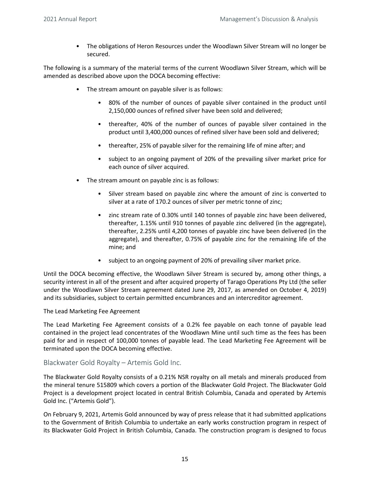• The obligations of Heron Resources under the Woodlawn Silver Stream will no longer be secured.

The following is a summary of the material terms of the current Woodlawn Silver Stream, which will be amended as described above upon the DOCA becoming effective:

- The stream amount on payable silver is as follows:
	- 80% of the number of ounces of payable silver contained in the product until 2,150,000 ounces of refined silver have been sold and delivered;
	- thereafter, 40% of the number of ounces of payable silver contained in the product until 3,400,000 ounces of refined silver have been sold and delivered;
	- thereafter, 25% of payable silver for the remaining life of mine after; and
	- subject to an ongoing payment of 20% of the prevailing silver market price for each ounce of silver acquired.
- The stream amount on payable zinc is as follows:
	- Silver stream based on payable zinc where the amount of zinc is converted to silver at a rate of 170.2 ounces of silver per metric tonne of zinc;
	- zinc stream rate of 0.30% until 140 tonnes of payable zinc have been delivered, thereafter, 1.15% until 910 tonnes of payable zinc delivered (in the aggregate), thereafter, 2.25% until 4,200 tonnes of payable zinc have been delivered (in the aggregate), and thereafter, 0.75% of payable zinc for the remaining life of the mine; and
	- subject to an ongoing payment of 20% of prevailing silver market price.

Until the DOCA becoming effective, the Woodlawn Silver Stream is secured by, among other things, a security interest in all of the present and after acquired property of Tarago Operations Pty Ltd (the seller under the Woodlawn Silver Stream agreement dated June 29, 2017, as amended on October 4, 2019) and its subsidiaries, subject to certain permitted encumbrances and an intercreditor agreement.

The Lead Marketing Fee Agreement

The Lead Marketing Fee Agreement consists of a 0.2% fee payable on each tonne of payable lead contained in the project lead concentrates of the Woodlawn Mine until such time as the fees has been paid for and in respect of 100,000 tonnes of payable lead. The Lead Marketing Fee Agreement will be terminated upon the DOCA becoming effective.

#### Blackwater Gold Royalty – Artemis Gold Inc.

The Blackwater Gold Royalty consists of a 0.21% NSR royalty on all metals and minerals produced from the mineral tenure 515809 which covers a portion of the Blackwater Gold Project. The Blackwater Gold Project is a development project located in central British Columbia, Canada and operated by Artemis Gold Inc. ("Artemis Gold").

On February 9, 2021, Artemis Gold announced by way of press release that it had submitted applications to the Government of British Columbia to undertake an early works construction program in respect of its Blackwater Gold Project in British Columbia, Canada. The construction program is designed to focus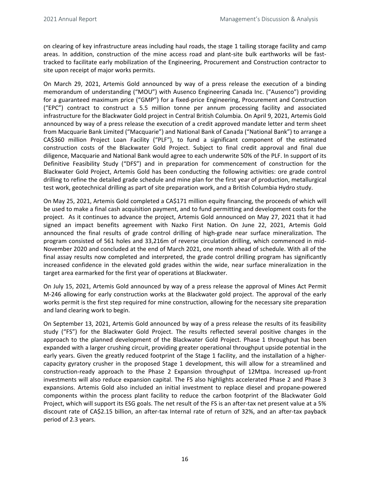on clearing of key infrastructure areas including haul roads, the stage 1 tailing storage facility and camp areas. In addition, construction of the mine access road and plant-site bulk earthworks will be fasttracked to facilitate early mobilization of the Engineering, Procurement and Construction contractor to site upon receipt of major works permits.

On March 29, 2021, Artemis Gold announced by way of a press release the execution of a binding memorandum of understanding ("MOU") with Ausenco Engineering Canada Inc. ("Ausenco") providing for a guaranteed maximum price ("GMP") for a fixed-price Engineering, Procurement and Construction ("EPC") contract to construct a 5.5 million tonne per annum processing facility and associated infrastructure for the Blackwater Gold project in Central British Columbia. On April 9, 2021, Artemis Gold announced by way of a press release the execution of a credit approved mandate letter and term sheet from Macquarie Bank Limited ("Macquarie") and National Bank of Canada ("National Bank") to arrange a CA\$360 million Project Loan Facility ("PLF"), to fund a significant component of the estimated construction costs of the Blackwater Gold Project. Subject to final credit approval and final due diligence, Macquarie and National Bank would agree to each underwrite 50% of the PLF. In support of its Definitive Feasibility Study ("DFS") and in preparation for commencement of construction for the Blackwater Gold Project, Artemis Gold has been conducting the following activities: ore grade control drilling to refine the detailed grade schedule and mine plan for the first year of production, metallurgical test work, geotechnical drilling as part of site preparation work, and a British Columbia Hydro study.

On May 25, 2021, Artemis Gold completed a CA\$171 million equity financing, the proceeds of which will be used to make a final cash acquisition payment, and to fund permitting and development costs for the project. As it continues to advance the project, Artemis Gold announced on May 27, 2021 that it had signed an impact benefits agreement with Nazko First Nation. On June 22, 2021, Artemis Gold announced the final results of grade control drilling of high-grade near surface mineralization. The program consisted of 561 holes and 33,216m of reverse circulation drilling, which commenced in mid-November 2020 and concluded at the end of March 2021, one month ahead of schedule. With all of the final assay results now completed and interpreted, the grade control drilling program has significantly increased confidence in the elevated gold grades within the wide, near surface mineralization in the target area earmarked for the first year of operations at Blackwater.

On July 15, 2021, Artemis Gold announced by way of a press release the approval of Mines Act Permit M-246 allowing for early construction works at the Blackwater gold project. The approval of the early works permit is the first step required for mine construction, allowing for the necessary site preparation and land clearing work to begin.

On September 13, 2021, Artemis Gold announced by way of a press release the results of its feasibility study ("FS") for the Blackwater Gold Project. The results reflected several positive changes in the approach to the planned development of the Blackwater Gold Project. Phase 1 throughput has been expanded with a larger crushing circuit, providing greater operational throughput upside potential in the early years. Given the greatly reduced footprint of the Stage 1 facility, and the installation of a highercapacity gyratory crusher in the proposed Stage 1 development, this will allow for a streamlined and construction-ready approach to the Phase 2 Expansion throughput of 12Mtpa. Increased up-front investments will also reduce expansion capital. The FS also highlights accelerated Phase 2 and Phase 3 expansions. Artemis Gold also included an initial investment to replace diesel and propane-powered components within the process plant facility to reduce the carbon footprint of the Blackwater Gold Project, which will support its ESG goals. The net result of the FS is an after-tax net present value at a 5% discount rate of CA\$2.15 billion, an after-tax Internal rate of return of 32%, and an after-tax payback period of 2.3 years.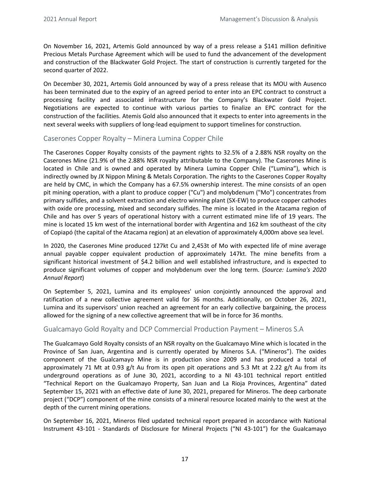On November 16, 2021, Artemis Gold announced by way of a press release a \$141 million definitive Precious Metals Purchase Agreement which will be used to fund the advancement of the development and construction of the Blackwater Gold Project. The start of construction is currently targeted for the second quarter of 2022.

On December 30, 2021, Artemis Gold announced by way of a press release that its MOU with Ausenco has been terminated due to the expiry of an agreed period to enter into an EPC contract to construct a processing facility and associated infrastructure for the Company's Blackwater Gold Project. Negotiations are expected to continue with various parties to finalize an EPC contract for the construction of the facilities. Atemis Gold also announced that it expects to enter into agreements in the next several weeks with suppliers of long-lead equipment to support timelines for construction.

## Caserones Copper Royalty – Minera Lumina Copper Chile

The Caserones Copper Royalty consists of the payment rights to 32.5% of a 2.88% NSR royalty on the Caserones Mine (21.9% of the 2.88% NSR royalty attributable to the Company). The Caserones Mine is located in Chile and is owned and operated by Minera Lumina Copper Chile ("Lumina"), which is indirectly owned by JX Nippon Mining & Metals Corporation. The rights to the Caserones Copper Royalty are held by CMC, in which the Company has a 67.5% ownership interest. The mine consists of an open pit mining operation, with a plant to produce copper ("Cu") and molybdenum ("Mo") concentrates from primary sulfides, and a solvent extraction and electro winning plant (SX-EW) to produce copper cathodes with oxide ore processing, mixed and secondary sulfides. The mine is located in the Atacama region of Chile and has over 5 years of operational history with a current estimated mine life of 19 years. The mine is located 15 km west of the international border with Argentina and 162 km southeast of the city of Copiapó (the capital of the Atacama region) at an elevation of approximately 4,000m above sea level.

In 2020, the Caserones Mine produced 127kt Cu and 2,453t of Mo with expected life of mine average annual payable copper equivalent production of approximately 147kt. The mine benefits from a significant historical investment of \$4.2 billion and well established infrastructure, and is expected to produce significant volumes of copper and molybdenum over the long term. (*Source: Lumina's 2020 Annual Report*)

On September 5, 2021, Lumina and its employees' union conjointly announced the approval and ratification of a new collective agreement valid for 36 months. Additionally, on October 26, 2021, Lumina and its supervisors' union reached an agreement for an early collective bargaining, the process allowed for the signing of a new collective agreement that will be in force for 36 months.

## Gualcamayo Gold Royalty and DCP Commercial Production Payment – Mineros S.A

The Gualcamayo Gold Royalty consists of an NSR royalty on the Gualcamayo Mine which is located in the Province of San Juan, Argentina and is currently operated by Mineros S.A. ("Mineros"). The oxides component of the Gualcamayo Mine is in production since 2009 and has produced a total of approximately 71 Mt at 0.93  $g/t$  Au from its open pit operations and 5.3 Mt at 2.22  $g/t$  Au from its underground operations as of June 30, 2021, according to a NI 43-101 technical report entitled "Technical Report on the Gualcamayo Property, San Juan and La Rioja Provinces, Argentina" dated September 15, 2021 with an effective date of June 30, 2021, prepared for Mineros. The deep carbonate project ("DCP") component of the mine consists of a mineral resource located mainly to the west at the depth of the current mining operations.

On September 16, 2021, Mineros filed updated technical report prepared in accordance with National Instrument 43-101 - Standards of Disclosure for Mineral Projects ("NI 43-101") for the Gualcamayo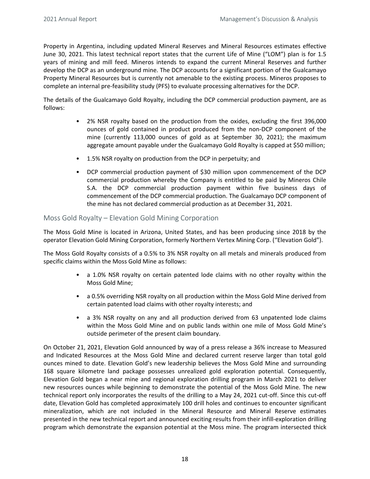Property in Argentina, including updated Mineral Reserves and Mineral Resources estimates effective June 30, 2021. This latest technical report states that the current Life of Mine ("LOM") plan is for 1.5 years of mining and mill feed. Mineros intends to expand the current Mineral Reserves and further develop the DCP as an underground mine. The DCP accounts for a significant portion of the Gualcamayo Property Mineral Resources but is currently not amenable to the existing process. Mineros proposes to complete an internal pre-feasibility study (PFS) to evaluate processing alternatives for the DCP.

The details of the Gualcamayo Gold Royalty, including the DCP commercial production payment, are as follows:

- 2% NSR royalty based on the production from the oxides, excluding the first 396,000 ounces of gold contained in product produced from the non-DCP component of the mine (currently  $113,000$  ounces of gold as at September 30, 2021); the maximum aggregate amount payable under the Gualcamayo Gold Royalty is capped at \$50 million;
- 1.5% NSR royalty on production from the DCP in perpetuity; and
- DCP commercial production payment of \$30 million upon commencement of the DCP commercial production whereby the Company is entitled to be paid by Mineros Chile S.A. the DCP commercial production payment within five business days of commencement of the DCP commercial production. The Gualcamayo DCP component of the mine has not declared commercial production as at December 31, 2021.

## Moss Gold Royalty – Elevation Gold Mining Corporation

The Moss Gold Mine is located in Arizona, United States, and has been producing since 2018 by the operator Elevation Gold Mining Corporation, formerly Northern Vertex Mining Corp. ("Elevation Gold").

The Moss Gold Royalty consists of a 0.5% to 3% NSR royalty on all metals and minerals produced from specific claims within the Moss Gold Mine as follows:

- a 1.0% NSR royalty on certain patented lode claims with no other royalty within the Moss Gold Mine;
- a 0.5% overriding NSR royalty on all production within the Moss Gold Mine derived from certain patented load claims with other royalty interests; and
- a 3% NSR royalty on any and all production derived from 63 unpatented lode claims within the Moss Gold Mine and on public lands within one mile of Moss Gold Mine's outside perimeter of the present claim boundary.

On October 21, 2021, Elevation Gold announced by way of a press release a 36% increase to Measured and Indicated Resources at the Moss Gold Mine and declared current reserve larger than total gold ounces mined to date. Elevation Gold's new leadership believes the Moss Gold Mine and surrounding 168 square kilometre land package possesses unrealized gold exploration potential. Consequently, Elevation Gold began a near mine and regional exploration drilling program in March 2021 to deliver new resources ounces while beginning to demonstrate the potential of the Moss Gold Mine. The new technical report only incorporates the results of the drilling to a May 24, 2021 cut-off. Since this cut-off date, Elevation Gold has completed approximately 100 drill holes and continues to encounter significant mineralization, which are not included in the Mineral Resource and Mineral Reserve estimates presented in the new technical report and announced exciting results from their infill-exploration drilling program which demonstrate the expansion potential at the Moss mine. The program intersected thick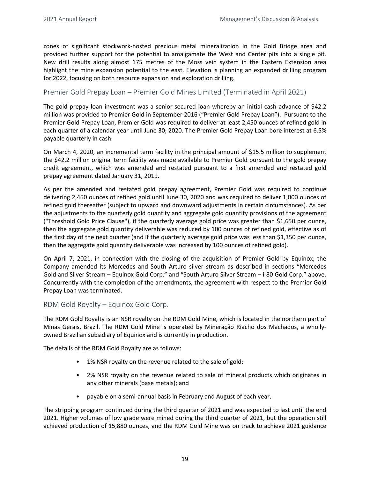zones of significant stockwork-hosted precious metal mineralization in the Gold Bridge area and provided further support for the potential to amalgamate the West and Center pits into a single pit. New drill results along almost 175 metres of the Moss vein system in the Eastern Extension area highlight the mine expansion potential to the east. Elevation is planning an expanded drilling program for 2022, focusing on both resource expansion and exploration drilling.

## Premier Gold Prepay Loan – Premier Gold Mines Limited (Terminated in April 2021)

The gold prepay loan investment was a senior-secured loan whereby an initial cash advance of \$42.2 million was provided to Premier Gold in September 2016 ("Premier Gold Prepay Loan"). Pursuant to the Premier Gold Prepay Loan, Premier Gold was required to deliver at least 2,450 ounces of refined gold in each quarter of a calendar year until June 30, 2020. The Premier Gold Prepay Loan bore interest at 6.5% payable quarterly in cash.

On March 4, 2020, an incremental term facility in the principal amount of \$15.5 million to supplement the \$42.2 million original term facility was made available to Premier Gold pursuant to the gold prepay credit agreement, which was amended and restated pursuant to a first amended and restated gold prepay agreement dated January 31, 2019.

As per the amended and restated gold prepay agreement, Premier Gold was required to continue delivering 2,450 ounces of refined gold until June 30, 2020 and was required to deliver 1,000 ounces of refined gold thereafter (subject to upward and downward adjustments in certain circumstances). As per the adjustments to the quarterly gold quantity and aggregate gold quantity provisions of the agreement ("Threshold Gold Price Clause"), if the quarterly average gold price was greater than \$1,650 per ounce, then the aggregate gold quantity deliverable was reduced by 100 ounces of refined gold, effective as of the first day of the next quarter (and if the quarterly average gold price was less than \$1,350 per ounce, then the aggregate gold quantity deliverable was increased by 100 ounces of refined gold).

On April 7, 2021, in connection with the closing of the acquisition of Premier Gold by Equinox, the Company amended its Mercedes and South Arturo silver stream as described in sections "Mercedes Gold and Silver Stream - Equinox Gold Corp." and "South Arturo Silver Stream - i-80 Gold Corp." above. Concurrently with the completion of the amendments, the agreement with respect to the Premier Gold Prepay Loan was terminated.

RDM Gold Royalty – Equinox Gold Corp.

The RDM Gold Royalty is an NSR royalty on the RDM Gold Mine, which is located in the northern part of Minas Gerais, Brazil. The RDM Gold Mine is operated by Mineração Riacho dos Machados, a whollyowned Brazilian subsidiary of Equinox and is currently in production.

The details of the RDM Gold Royalty are as follows:

- 1% NSR royalty on the revenue related to the sale of gold;
- 2% NSR royalty on the revenue related to sale of mineral products which originates in any other minerals (base metals); and
- payable on a semi-annual basis in February and August of each year.

The stripping program continued during the third quarter of 2021 and was expected to last until the end 2021. Higher volumes of low grade were mined during the third quarter of 2021, but the operation still achieved production of 15,880 ounces, and the RDM Gold Mine was on track to achieve 2021 guidance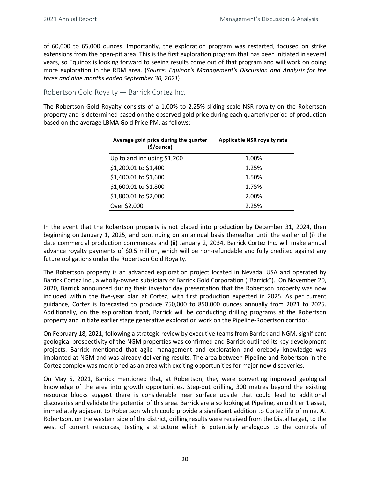of 60,000 to 65,000 ounces. Importantly, the exploration program was restarted, focused on strike extensions from the open-pit area. This is the first exploration program that has been initiated in several years, so Equinox is looking forward to seeing results come out of that program and will work on doing more exploration in the RDM area. (*Source: Equinox's Management's Discussion and Analysis for the three and nine months ended September 30, 2021*)

Robertson Gold Royalty — Barrick Cortez Inc.

The Robertson Gold Royalty consists of a 1.00% to 2.25% sliding scale NSR royalty on the Robertson property and is determined based on the observed gold price during each quarterly period of production based on the average LBMA Gold Price PM, as follows:

| Average gold price during the quarter<br>$(\frac{1}{2})ounce$ | Applicable NSR royalty rate |
|---------------------------------------------------------------|-----------------------------|
| Up to and including \$1,200                                   | 1.00%                       |
| \$1,200.01 to \$1,400                                         | 1.25%                       |
| \$1,400.01 to \$1,600                                         | 1.50%                       |
| \$1,600.01 to \$1,800                                         | 1.75%                       |
| \$1,800.01 to \$2,000                                         | 2.00%                       |
| Over \$2,000                                                  | 2.25%                       |

In the event that the Robertson property is not placed into production by December 31, 2024, then beginning on January 1, 2025, and continuing on an annual basis thereafter until the earlier of (i) the date commercial production commences and (ii) January 2, 2034, Barrick Cortez Inc. will make annual advance royalty payments of \$0.5 million, which will be non-refundable and fully credited against any future obligations under the Robertson Gold Royalty.

The Robertson property is an advanced exploration project located in Nevada, USA and operated by Barrick Cortez Inc., a wholly-owned subsidiary of Barrick Gold Corporation ("Barrick"). On November 20, 2020, Barrick announced during their investor day presentation that the Robertson property was now included within the five-year plan at Cortez, with first production expected in 2025. As per current guidance, Cortez is forecasted to produce 750,000 to 850,000 ounces annually from 2021 to 2025. Additionally, on the exploration front, Barrick will be conducting drilling programs at the Robertson property and initiate earlier stage generative exploration work on the Pipeline-Robertson corridor.

On February 18, 2021, following a strategic review by executive teams from Barrick and NGM, significant geological prospectivity of the NGM properties was confirmed and Barrick outlined its key development projects. Barrick mentioned that agile management and exploration and orebody knowledge was implanted at NGM and was already delivering results. The area between Pipeline and Robertson in the Cortez complex was mentioned as an area with exciting opportunities for major new discoveries.

On May 5, 2021, Barrick mentioned that, at Robertson, they were converting improved geological knowledge of the area into growth opportunities. Step-out drilling, 300 metres beyond the existing resource blocks suggest there is considerable near surface upside that could lead to additional discoveries and validate the potential of this area. Barrick are also looking at Pipeline, an old tier 1 asset, immediately adjacent to Robertson which could provide a significant addition to Cortez life of mine. At Robertson, on the western side of the district, drilling results were received from the Distal target, to the west of current resources, testing a structure which is potentially analogous to the controls of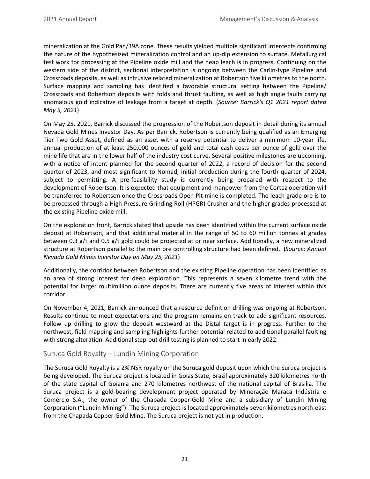mineralization at the Gold Pan/39A zone. These results yielded multiple significant intercepts confirming the nature of the hypothesized mineralization control and an up-dip extension to surface. Metallurgical test work for processing at the Pipeline oxide mill and the heap leach is in progress. Continuing on the western side of the district, sectional interpretation is ongoing between the Carlin-type Pipeline and Crossroads deposits, as well as intrusive related mineralization at Robertson five kilometres to the north. Surface mapping and sampling has identified a favorable structural setting between the Pipeline/ Crossroads and Robertson deposits with folds and thrust faulting, as well as high angle faults carrying anomalous gold indicative of leakage from a target at depth. (*Source: Barrick's Q1 2021 report dated May 5, 2021*)

On May 25, 2021, Barrick discussed the progression of the Robertson deposit in detail during its annual Nevada Gold Mines Investor Day. As per Barrick, Robertson is currently being qualified as an Emerging Tier Two Gold Asset, defined as an asset with a reserve potential to deliver a minimum 10-year life, annual production of at least 250,000 ounces of gold and total cash costs per ounce of gold over the mine life that are in the lower half of the industry cost curve. Several positive milestones are upcoming, with a notice of intent planned for the second quarter of 2022, a record of decision for the second quarter of 2023, and most significant to Nomad, initial production during the fourth quarter of 2024, subject to permitting. A pre-feasibility study is currently being prepared with respect to the development of Robertson. It is expected that equipment and manpower from the Cortez operation will be transferred to Robertson once the Crossroads Open Pit mine is completed. The leach grade ore is to be processed through a High-Pressure Grinding Roll (HPGR) Crusher and the higher grades processed at the existing Pipeline oxide mill.

On the exploration front, Barrick stated that upside has been identified within the current surface oxide deposit at Robertson, and that additional material in the range of 50 to 60 million tonnes at grades between 0.3  $g/t$  and 0.5  $g/t$  gold could be projected at or near surface. Additionally, a new mineralized structure at Robertson parallel to the main ore controlling structure had been defined. (Source: Annual *Nevada Gold Mines Investor Day on May 25, 2021*)

Additionally, the corridor between Robertson and the existing Pipeline operation has been identified as an area of strong interest for deep exploration. This represents a seven kilometre trend with the potential for larger multimillion ounce deposits. There are currently five areas of interest within this corridor. 

On November 4, 2021, Barrick announced that a resource definition drilling was ongoing at Robertson. Results continue to meet expectations and the program remains on track to add significant resources. Follow up drilling to grow the deposit westward at the Distal target is in progress. Further to the northwest, field mapping and sampling highlights further potential related to additional parallel faulting with strong alteration. Additional step-out drill testing is planned to start in early 2022.

## Suruca Gold Royalty – Lundin Mining Corporation

The Suruca Gold Royalty is a 2% NSR royalty on the Suruca gold deposit upon which the Suruca project is being developed. The Suruca project is located in Goias State, Brazil approximately 320 kilometres north of the state capital of Goiania and 270 kilometres northwest of the national capital of Brasilia. The Suruca project is a gold-bearing development project operated by Mineração Maracá Indústria e Comércio S.A., the owner of the Chapada Copper-Gold Mine and a subsidiary of Lundin Mining Corporation ("Lundin Mining"). The Suruca project is located approximately seven kilometres north-east from the Chapada Copper-Gold Mine. The Suruca project is not yet in production.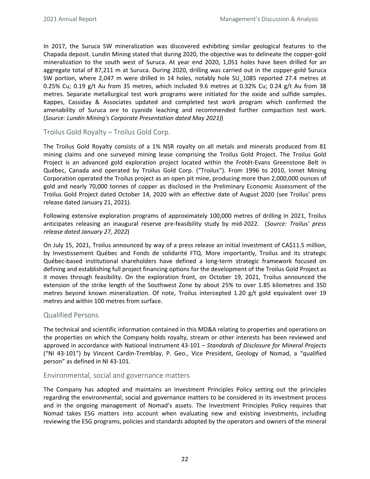<span id="page-21-0"></span>In 2017, the Suruca SW mineralization was discovered exhibiting similar geological features to the Chapada deposit. Lundin Mining stated that during 2020, the objective was to delineate the copper-gold mineralization to the south west of Suruca. At year end 2020, 1,051 holes have been drilled for an aggregate total of 87,211 m at Suruca. During 2020, drilling was carried out in the copper-gold Suruca SW portion, where 2,047 m were drilled in 14 holes, notably hole SU 1085 reported 27.4 metres at 0.25% Cu; 0.19  $g/t$  Au from 35 metres, which included 9.6 metres at 0.32% Cu; 0.24  $g/t$  Au from 38 metres. Separate metallurgical test work programs were initiated for the oxide and sulfide samples. Kappes, Cassiday & Associates updated and completed test work program which confirmed the amenability of Suruca ore to cyanide leaching and recommended further compaction test work. (*Source: Lundin Mining's Corporate Presentation dated May 2021)*)

Troilus Gold Royalty – Troilus Gold Corp.

The Troilus Gold Royalty consists of a 1% NSR royalty on all metals and minerals produced from 81 mining claims and one surveyed mining lease comprising the Troilus Gold Project. The Troilus Gold Project is an advanced gold exploration project located within the Frotêt-Evans Greenstone Belt in Québec, Canada and operated by Troilus Gold Corp. ("Troilus"). From 1996 to 2010, Inmet Mining Corporation operated the Troilus project as an open pit mine, producing more than 2,000,000 ounces of gold and nearly 70,000 tonnes of copper as disclosed in the Preliminary Economic Assessment of the Troilus Gold Project dated October 14, 2020 with an effective date of August 2020 (see Troilus' press release dated January 21, 2021).

Following extensive exploration programs of approximately 100,000 metres of drilling in 2021, Troilus anticipates releasing an inaugural reserve pre-feasibility study by mid-2022. (Source: Troilus' press *release dated January 27, 2022*)

On July 15, 2021, Troilus announced by way of a press release an initial investment of CA\$11.5 million, by Investissement Québec and Fonds de solidarité FTQ. More importantly, Troilus and its strategic Québec-based institutional shareholders have defined a long-term strategic framework focused on defining and establishing full project financing options for the development of the Troilus Gold Project as it moves through feasibility. On the exploration front, on October 19, 2021, Troilus announced the extension of the strike length of the Southwest Zone by about 25% to over 1.85 kilometres and 350 metres beyond known mineralization. Of note, Troilus intercepted 1.20  $g/t$  gold equivalent over 19 metres and within 100 metres from surface.

## Qualified Persons

The technical and scientific information contained in this MD&A relating to properties and operations on the properties on which the Company holds royalty, stream or other interests has been reviewed and approved in accordance with National Instrument 43-101 - *Standards of Disclosure for Mineral Projects* ("NI 43-101") by Vincent Cardin-Tremblay, P. Geo., Vice President, Geology of Nomad, a "qualified person" as defined in NI 43-101.

## Environmental, social and governance matters

The Company has adopted and maintains an Investment Principles Policy setting out the principles regarding the environmental, social and governance matters to be considered in its investment process and in the ongoing management of Nomad's assets. The Investment Principles Policy requires that Nomad takes ESG matters into account when evaluating new and existing investments, including reviewing the ESG programs, policies and standards adopted by the operators and owners of the mineral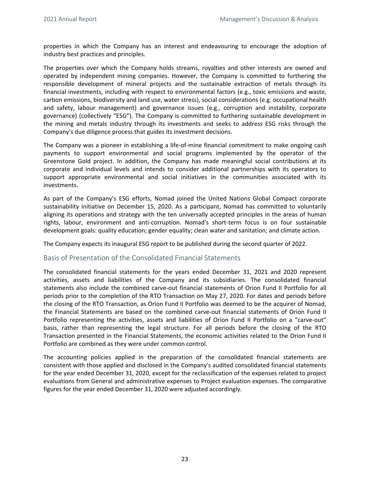<span id="page-22-0"></span>properties in which the Company has an interest and endeavouring to encourage the adoption of industry best practices and principles.

The properties over which the Company holds streams, royalties and other interests are owned and operated by independent mining companies. However, the Company is committed to furthering the responsible development of mineral projects and the sustainable extraction of metals through its financial investments, including with respect to environmental factors (e.g., toxic emissions and waste, carbon emissions, biodiversity and land use, water stress), social considerations (e.g. occupational health and safety, labour management) and governance issues (e.g., corruption and instability, corporate governance) (collectively "ESG"). The Company is committed to furthering sustainable development in the mining and metals industry through its investments and seeks to address ESG risks through the Company's due diligence process that guides its investment decisions.

The Company was a pioneer in establishing a life-of-mine financial commitment to make ongoing cash payments to support environmental and social programs implemented by the operator of the Greenstone Gold project. In addition, the Company has made meaningful social contributions at its corporate and individual levels and intends to consider additional partnerships with its operators to support appropriate environmental and social initiatives in the communities associated with its investments. 

As part of the Company's ESG efforts, Nomad joined the United Nations Global Compact corporate sustainability initiative on December 15, 2020. As a participant, Nomad has committed to voluntarily aligning its operations and strategy with the ten universally accepted principles in the areas of human rights, labour, environment and anti-corruption. Nomad's short-term focus is on four sustainable development goals: quality education; gender equality; clean water and sanitation; and climate action.

The Company expects its inaugural ESG report to be published during the second quarter of 2022.

#### Basis of Presentation of the Consolidated Financial Statements

The consolidated financial statements for the years ended December 31, 2021 and 2020 represent activities, assets and liabilities of the Company and its subsidiaries. The consolidated financial statements also include the combined carve-out financial statements of Orion Fund II Portfolio for all periods prior to the completion of the RTO Transaction on May 27, 2020. For dates and periods before the closing of the RTO Transaction, as Orion Fund II Portfolio was deemed to be the acquirer of Nomad, the Financial Statements are based on the combined carve-out financial statements of Orion Fund II Portfolio representing the activities, assets and liabilities of Orion Fund II Portfolio on a "carve-out" basis, rather than representing the legal structure. For all periods before the closing of the RTO Transaction presented in the Financial Statements, the economic activities related to the Orion Fund II Portfolio are combined as they were under common control.

The accounting policies applied in the preparation of the consolidated financial statements are consistent with those applied and disclosed in the Company's audited consolidated financial statements for the year ended December 31, 2020, except for the reclassification of the expenses related to project evaluations from General and administrative expenses to Project evaluation expenses. The comparative figures for the year ended December 31, 2020 were adjusted accordingly.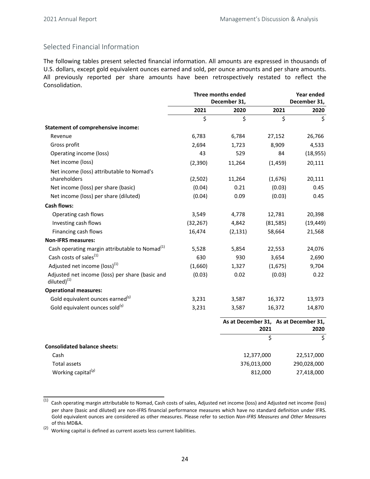## Selected Financial Information

The following tables present selected financial information. All amounts are expressed in thousands of U.S. dollars, except gold equivalent ounces earned and sold, per ounce amounts and per share amounts. All previously reported per share amounts have been retrospectively restated to reflect the Consolidation.

|                                                                      | <b>Three months ended</b> |              | Year ended  |                                               |  |
|----------------------------------------------------------------------|---------------------------|--------------|-------------|-----------------------------------------------|--|
|                                                                      |                           | December 31, |             | December 31,                                  |  |
|                                                                      | 2021                      | 2020         | 2021        | 2020                                          |  |
|                                                                      | \$                        | \$           | \$          | \$                                            |  |
| <b>Statement of comprehensive income:</b>                            |                           |              |             |                                               |  |
| Revenue                                                              | 6,783                     | 6,784        | 27,152      | 26,766                                        |  |
| Gross profit                                                         | 2,694                     | 1,723        | 8,909       | 4,533                                         |  |
| Operating income (loss)                                              | 43                        | 529          | 84          | (18, 955)                                     |  |
| Net income (loss)                                                    | (2,390)                   | 11,264       | (1, 459)    | 20,111                                        |  |
| Net income (loss) attributable to Nomad's                            |                           |              |             |                                               |  |
| shareholders                                                         | (2,502)                   | 11,264       | (1,676)     | 20,111                                        |  |
| Net income (loss) per share (basic)                                  | (0.04)                    | 0.21         | (0.03)      | 0.45                                          |  |
| Net income (loss) per share (diluted)                                | (0.04)                    | 0.09         | (0.03)      | 0.45                                          |  |
| <b>Cash flows:</b>                                                   |                           |              |             |                                               |  |
| Operating cash flows                                                 | 3,549                     | 4,778        | 12,781      | 20,398                                        |  |
| Investing cash flows                                                 | (32, 267)                 | 4,842        | (81,585)    | (19, 449)                                     |  |
| Financing cash flows                                                 | 16,474                    | (2, 131)     | 58,664      | 21,568                                        |  |
| <b>Non-IFRS measures:</b>                                            |                           |              |             |                                               |  |
| Cash operating margin attributable to Nomad <sup>(1)</sup>           | 5,528                     | 5,854        | 22,553      | 24,076                                        |  |
| Cash costs of sales <sup>(1)</sup>                                   | 630                       | 930          | 3,654       | 2,690                                         |  |
| Adjusted net income (loss) <sup>(1)</sup>                            | (1,660)                   | 1,327        | (1,675)     | 9,704                                         |  |
| Adjusted net income (loss) per share (basic and<br>diluted $)^{(1)}$ | (0.03)                    | 0.02         | (0.03)      | 0.22                                          |  |
| <b>Operational measures:</b>                                         |                           |              |             |                                               |  |
| Gold equivalent ounces earned <sup>(1)</sup>                         | 3,231                     | 3,587        | 16,372      | 13,973                                        |  |
| Gold equivalent ounces sold <sup>(1)</sup>                           | 3,231                     | 3,587        | 16,372      | 14,870                                        |  |
|                                                                      |                           |              | 2021        | As at December 31, As at December 31,<br>2020 |  |
|                                                                      |                           |              | \$          | $\zeta$                                       |  |
| <b>Consolidated balance sheets:</b>                                  |                           |              |             |                                               |  |
| Cash                                                                 |                           |              | 12,377,000  | 22,517,000                                    |  |
| <b>Total assets</b>                                                  |                           |              | 376,013,000 | 290,028,000                                   |  |
| Working capital <sup>(2)</sup>                                       |                           |              | 812,000     | 27,418,000                                    |  |

<sup>(1)</sup> Cash operating margin attributable to Nomad, Cash costs of sales, Adjusted net income (loss) and Adjusted net income (loss) per share (basic and diluted) are non-IFRS financial performance measures which have no standard definition under IFRS. Gold equivalent ounces are considered as other measures. Please refer to section *Non-IFRS Measures and Other Measures* of this MD&A.

 $(2)$  Working capital is defined as current assets less current liabilities.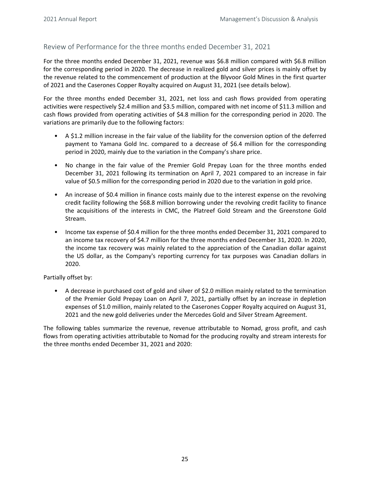## <span id="page-24-0"></span>Review of Performance for the three months ended December 31, 2021

For the three months ended December 31, 2021, revenue was \$6.8 million compared with \$6.8 million for the corresponding period in 2020. The decrease in realized gold and silver prices is mainly offset by the revenue related to the commencement of production at the Blyvoor Gold Mines in the first quarter of 2021 and the Caserones Copper Royalty acquired on August 31, 2021 (see details below).

For the three months ended December 31, 2021, net loss and cash flows provided from operating activities were respectively \$2.4 million and \$3.5 million, compared with net income of \$11.3 million and cash flows provided from operating activities of \$4.8 million for the corresponding period in 2020. The variations are primarily due to the following factors:

- A \$1.2 million increase in the fair value of the liability for the conversion option of the deferred payment to Yamana Gold Inc. compared to a decrease of \$6.4 million for the corresponding period in 2020, mainly due to the variation in the Company's share price.
- No change in the fair value of the Premier Gold Prepay Loan for the three months ended December 31, 2021 following its termination on April 7, 2021 compared to an increase in fair value of \$0.5 million for the corresponding period in 2020 due to the variation in gold price.
- An increase of \$0.4 million in finance costs mainly due to the interest expense on the revolving credit facility following the \$68.8 million borrowing under the revolving credit facility to finance the acquisitions of the interests in CMC, the Platreef Gold Stream and the Greenstone Gold Stream.
- Income tax expense of \$0.4 million for the three months ended December 31, 2021 compared to an income tax recovery of \$4.7 million for the three months ended December 31, 2020. In 2020, the income tax recovery was mainly related to the appreciation of the Canadian dollar against the US dollar, as the Company's reporting currency for tax purposes was Canadian dollars in 2020.

#### Partially offset by:

• A decrease in purchased cost of gold and silver of \$2.0 million mainly related to the termination of the Premier Gold Prepay Loan on April 7, 2021, partially offset by an increase in depletion expenses of \$1.0 million, mainly related to the Caserones Copper Royalty acquired on August 31, 2021 and the new gold deliveries under the Mercedes Gold and Silver Stream Agreement.

The following tables summarize the revenue, revenue attributable to Nomad, gross profit, and cash flows from operating activities attributable to Nomad for the producing royalty and stream interests for the three months ended December 31, 2021 and 2020: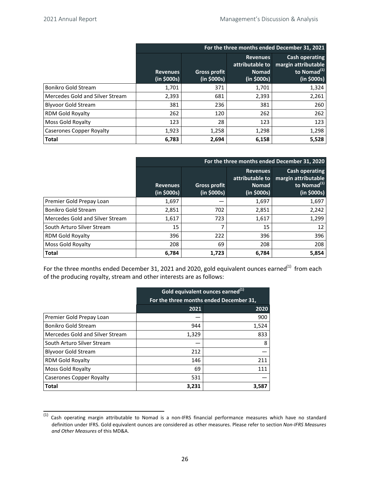|                                 | For the three months ended December 31, 2021 |                                    |                                                                   |                                                                                 |  |
|---------------------------------|----------------------------------------------|------------------------------------|-------------------------------------------------------------------|---------------------------------------------------------------------------------|--|
|                                 | <b>Revenues</b><br>(in \$000s)               | <b>Gross profit</b><br>(in \$000s) | <b>Revenues</b><br>attributable to<br><b>Nomad</b><br>(in \$000s) | Cash operating<br>margin attributable<br>to Nomad <sup>(1)</sup><br>(in \$000s) |  |
| <b>Bonikro Gold Stream</b>      | 1,701                                        | 371                                | 1,701                                                             | 1,324                                                                           |  |
| Mercedes Gold and Silver Stream | 2,393                                        | 681                                | 2,393                                                             | 2,261                                                                           |  |
| <b>Blyvoor Gold Stream</b>      | 381                                          | 236                                | 381                                                               | 260                                                                             |  |
| RDM Gold Royalty                | 262                                          | 120                                | 262                                                               | 262                                                                             |  |
| Moss Gold Royalty               | 123                                          | 28                                 | 123                                                               | 123                                                                             |  |
| <b>Caserones Copper Royalty</b> | 1,923                                        | 1,258                              | 1,298                                                             | 1,298                                                                           |  |
| <b>Total</b>                    | 6,783                                        | 2,694                              | 6,158                                                             | 5,528                                                                           |  |

|                                 | For the three months ended December 31, 2020 |                                    |                                                                   |                                                                                        |  |
|---------------------------------|----------------------------------------------|------------------------------------|-------------------------------------------------------------------|----------------------------------------------------------------------------------------|--|
|                                 | <b>Revenues</b><br>(in \$000s)               | <b>Gross profit</b><br>(in \$000s) | <b>Revenues</b><br>attributable to<br><b>Nomad</b><br>(in \$000s) | <b>Cash operating</b><br>margin attributable<br>to Nomad <sup>(1)</sup><br>(in \$000s) |  |
| Premier Gold Prepay Loan        | 1,697                                        |                                    | 1,697                                                             | 1,697                                                                                  |  |
| <b>Bonikro Gold Stream</b>      | 2,851                                        | 702                                | 2,851                                                             | 2,242                                                                                  |  |
| Mercedes Gold and Silver Stream | 1,617                                        | 723                                | 1,617                                                             | 1,299                                                                                  |  |
| South Arturo Silver Stream      | 15                                           |                                    | 15                                                                | 12                                                                                     |  |
| <b>RDM Gold Royalty</b>         | 396                                          | 222                                | 396                                                               | 396                                                                                    |  |
| Moss Gold Royalty               | 208                                          | 69                                 | 208                                                               | 208                                                                                    |  |
| <b>Total</b>                    | 6,784                                        | 1,723                              | 6,784                                                             | 5,854                                                                                  |  |

For the three months ended December 31, 2021 and 2020, gold equivalent ounces earned<sup>(1)</sup> from each of the producing royalty, stream and other interests are as follows:

|                                 | Gold equivalent ounces earned <sup>(1)</sup> |       |  |  |  |
|---------------------------------|----------------------------------------------|-------|--|--|--|
|                                 | For the three months ended December 31,      |       |  |  |  |
|                                 | 2021                                         | 2020  |  |  |  |
| Premier Gold Prepay Loan        |                                              | 900   |  |  |  |
| Bonikro Gold Stream             | 944                                          | 1,524 |  |  |  |
| Mercedes Gold and Silver Stream | 1,329                                        | 833   |  |  |  |
| South Arturo Silver Stream      |                                              | 8     |  |  |  |
| <b>Blyvoor Gold Stream</b>      | 212                                          |       |  |  |  |
| <b>RDM Gold Royalty</b>         | 146                                          | 211   |  |  |  |
| Moss Gold Royalty               | 69                                           | 111   |  |  |  |
| <b>Caserones Copper Royalty</b> | 531                                          |       |  |  |  |
| <b>Total</b>                    | 3,231                                        | 3,587 |  |  |  |

 $(1)$  Cash operating margin attributable to Nomad is a non-IFRS financial performance measures which have no standard definition under IFRS. Gold equivalent ounces are considered as other measures. Please refer to section *Non-IFRS Measures and Other Measures* of this MD&A.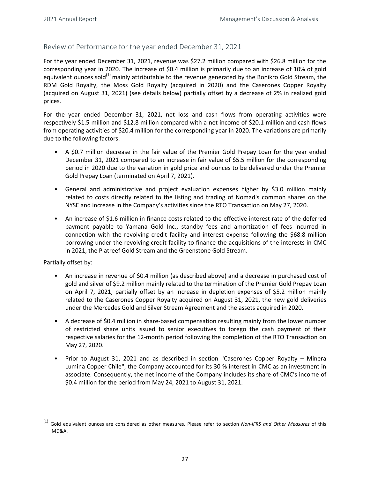## <span id="page-26-0"></span>Review of Performance for the year ended December 31, 2021

For the year ended December 31, 2021, revenue was \$27.2 million compared with \$26.8 million for the corresponding year in 2020. The increase of \$0.4 million is primarily due to an increase of 10% of gold equivalent ounces sold<sup>(1)</sup> mainly attributable to the revenue generated by the Bonikro Gold Stream, the RDM Gold Royalty, the Moss Gold Royalty (acquired in 2020) and the Caserones Copper Royalty (acquired on August 31, 2021) (see details below) partially offset by a decrease of 2% in realized gold prices.

For the year ended December 31, 2021, net loss and cash flows from operating activities were respectively \$1.5 million and \$12.8 million compared with a net income of \$20.1 million and cash flows from operating activities of \$20.4 million for the corresponding year in 2020. The variations are primarily due to the following factors:

- A \$0.7 million decrease in the fair value of the Premier Gold Prepay Loan for the year ended December 31, 2021 compared to an increase in fair value of \$5.5 million for the corresponding period in 2020 due to the variation in gold price and ounces to be delivered under the Premier Gold Prepay Loan (terminated on April 7, 2021).
- General and administrative and project evaluation expenses higher by \$3.0 million mainly related to costs directly related to the listing and trading of Nomad's common shares on the NYSE and increase in the Company's activities since the RTO Transaction on May 27, 2020.
- An increase of \$1.6 million in finance costs related to the effective interest rate of the deferred payment payable to Yamana Gold Inc., standby fees and amortization of fees incurred in connection with the revolving credit facility and interest expense following the \$68.8 million borrowing under the revolving credit facility to finance the acquisitions of the interests in CMC in 2021, the Platreef Gold Stream and the Greenstone Gold Stream.

Partially offset by:

- An increase in revenue of \$0.4 million (as described above) and a decrease in purchased cost of gold and silver of \$9.2 million mainly related to the termination of the Premier Gold Prepay Loan on April 7, 2021, partially offset by an increase in depletion expenses of \$5.2 million mainly related to the Caserones Copper Royalty acquired on August 31, 2021, the new gold deliveries under the Mercedes Gold and Silver Stream Agreement and the assets acquired in 2020.
- A decrease of \$0.4 million in share-based compensation resulting mainly from the lower number of restricted share units issued to senior executives to forego the cash payment of their respective salaries for the 12-month period following the completion of the RTO Transaction on May 27, 2020.
- Prior to August 31, 2021 and as described in section "Caserones Copper Royalty Minera Lumina Copper Chile", the Company accounted for its 30 % interest in CMC as an investment in associate. Consequently, the net income of the Company includes its share of CMC's income of \$0.4 million for the period from May 24, 2021 to August 31, 2021.

Gold equivalent ounces are considered as other measures. Please refer to section *Non-IFRS and Other Measures* of this MD&A.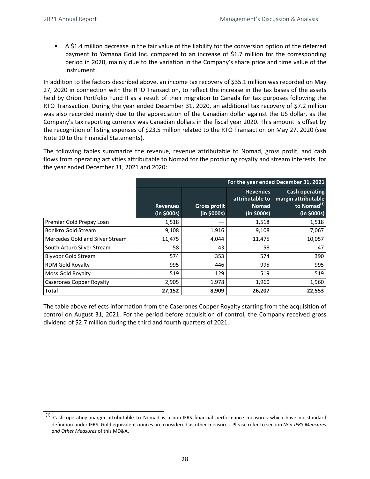• A \$1.4 million decrease in the fair value of the liability for the conversion option of the deferred payment to Yamana Gold Inc. compared to an increase of \$1.7 million for the corresponding period in 2020, mainly due to the variation in the Company's share price and time value of the instrument. 

In addition to the factors described above, an income tax recovery of \$35.1 million was recorded on May 27, 2020 in connection with the RTO Transaction, to reflect the increase in the tax bases of the assets held by Orion Portfolio Fund II as a result of their migration to Canada for tax purposes following the RTO Transaction. During the year ended December 31, 2020, an additional tax recovery of \$7.2 million was also recorded mainly due to the appreciation of the Canadian dollar against the US dollar, as the Company's tax reporting currency was Canadian dollars in the fiscal year 2020. This amount is offset by the recognition of listing expenses of \$23.5 million related to the RTO Transaction on May 27, 2020 (see Note 10 to the Financial Statements).

The following tables summarize the revenue, revenue attributable to Nomad, gross profit, and cash flows from operating activities attributable to Nomad for the producing royalty and stream interests for the year ended December 31, 2021 and 2020:

|                                 | For the year ended December 31, 2021 |                                    |                                                                   |                                                                                 |  |
|---------------------------------|--------------------------------------|------------------------------------|-------------------------------------------------------------------|---------------------------------------------------------------------------------|--|
|                                 | <b>Revenues</b><br>(in \$000s)       | <b>Gross profit</b><br>(in \$000s) | <b>Revenues</b><br>attributable to<br><b>Nomad</b><br>(in \$000s) | Cash operating<br>margin attributable<br>to Nomad <sup>(1)</sup><br>(in \$000s) |  |
| Premier Gold Prepay Loan        | 1,518                                |                                    | 1,518                                                             | 1,518                                                                           |  |
| Bonikro Gold Stream             | 9,108                                | 1,916                              | 9,108                                                             | 7,067                                                                           |  |
| Mercedes Gold and Silver Stream | 11,475                               | 4,044                              | 11,475                                                            | 10,057                                                                          |  |
| South Arturo Silver Stream      | 58                                   | 43                                 | 58                                                                | 47                                                                              |  |
| <b>Blyvoor Gold Stream</b>      | 574                                  | 353                                | 574                                                               | 390                                                                             |  |
| <b>RDM Gold Royalty</b>         | 995                                  | 446                                | 995                                                               | 995                                                                             |  |
| Moss Gold Royalty               | 519                                  | 129                                | 519                                                               | 519                                                                             |  |
| <b>Caserones Copper Royalty</b> | 2,905                                | 1,978                              | 1,960                                                             | 1,960                                                                           |  |
| <b>Total</b>                    | 27,152                               | 8,909                              | 26,207                                                            | 22,553                                                                          |  |

The table above reflects information from the Caserones Copper Royalty starting from the acquisition of control on August 31, 2021. For the period before acquisition of control, the Company received gross dividend of \$2.7 million during the third and fourth quarters of 2021.

 $(1)$  Cash operating margin attributable to Nomad is a non-IFRS financial performance measures which have no standard definition under IFRS. Gold equivalent ounces are considered as other measures. Please refer to section Non-IFRS Measures *and Other Measures* of this MD&A.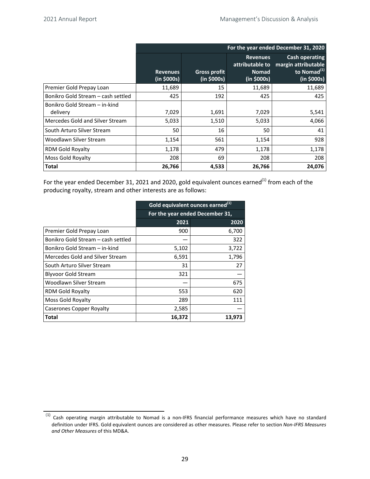|                                    | For the year ended December 31, 2020 |                                    |                                                                   |                                                                                        |  |  |
|------------------------------------|--------------------------------------|------------------------------------|-------------------------------------------------------------------|----------------------------------------------------------------------------------------|--|--|
|                                    | <b>Revenues</b><br>(in \$000s)       | <b>Gross profit</b><br>(in \$000s) | <b>Revenues</b><br>attributable to<br><b>Nomad</b><br>(in \$000s) | <b>Cash operating</b><br>margin attributable<br>to Nomad <sup>(1)</sup><br>(in \$000s) |  |  |
| Premier Gold Prepay Loan           | 11,689                               | 15                                 | 11,689                                                            | 11,689                                                                                 |  |  |
| Bonikro Gold Stream – cash settled | 425                                  | 192                                | 425                                                               | 425                                                                                    |  |  |
| Bonikro Gold Stream - in-kind      |                                      |                                    |                                                                   |                                                                                        |  |  |
| delivery                           | 7,029                                | 1,691                              | 7,029                                                             | 5,541                                                                                  |  |  |
| Mercedes Gold and Silver Stream    | 5,033                                | 1,510                              | 5,033                                                             | 4,066                                                                                  |  |  |
| South Arturo Silver Stream         | 50                                   | 16                                 | 50                                                                | 41                                                                                     |  |  |
| Woodlawn Silver Stream             | 1,154                                | 561                                | 1,154                                                             | 928                                                                                    |  |  |
| <b>RDM Gold Royalty</b>            | 1,178                                | 479                                | 1,178                                                             | 1,178                                                                                  |  |  |
| Moss Gold Royalty                  | 208                                  | 69                                 | 208                                                               | 208                                                                                    |  |  |
| <b>Total</b>                       | 26,766                               | 4,533                              | 26,766                                                            | 24,076                                                                                 |  |  |

For the year ended December 31, 2021 and 2020, gold equivalent ounces earned<sup>(1)</sup> from each of the producing royalty, stream and other interests are as follows:

|                                    | Gold equivalent ounces earned <sup>(1)</sup> |                                 |  |  |  |
|------------------------------------|----------------------------------------------|---------------------------------|--|--|--|
|                                    |                                              | For the year ended December 31, |  |  |  |
|                                    | 2021                                         | 2020                            |  |  |  |
| Premier Gold Prepay Loan           | 900                                          | 6,700                           |  |  |  |
| Bonikro Gold Stream – cash settled |                                              | 322                             |  |  |  |
| Bonikro Gold Stream - in-kind      | 5,102                                        | 3,722                           |  |  |  |
| Mercedes Gold and Silver Stream    | 6,591                                        | 1,796                           |  |  |  |
| South Arturo Silver Stream         | 31                                           | 27                              |  |  |  |
| <b>Blyvoor Gold Stream</b>         | 321                                          |                                 |  |  |  |
| Woodlawn Silver Stream             |                                              | 675                             |  |  |  |
| RDM Gold Royalty                   | 553                                          | 620                             |  |  |  |
| Moss Gold Royalty                  | 289                                          | 111                             |  |  |  |
| <b>Caserones Copper Royalty</b>    | 2,585                                        |                                 |  |  |  |
| Total                              | 16,372                                       | 13,973                          |  |  |  |

 $(1)$  Cash operating margin attributable to Nomad is a non-IFRS financial performance measures which have no standard definition under IFRS. Gold equivalent ounces are considered as other measures. Please refer to section *Non-IFRS Measures and Other Measures* of this MD&A.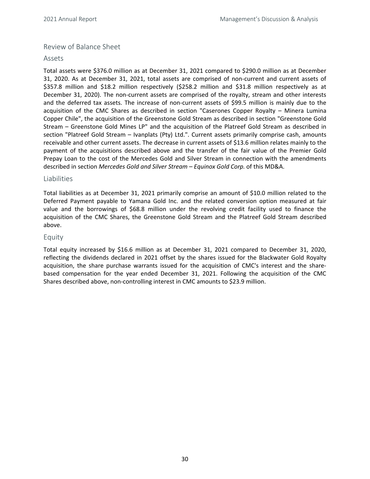## <span id="page-29-0"></span>Review of Balance Sheet

#### Assets

Total assets were \$376.0 million as at December 31, 2021 compared to \$290.0 million as at December 31, 2020. As at December 31, 2021, total assets are comprised of non-current and current assets of \$357.8 million and \$18.2 million respectively (\$258.2 million and \$31.8 million respectively as at December 31, 2020). The non-current assets are comprised of the royalty, stream and other interests and the deferred tax assets. The increase of non-current assets of \$99.5 million is mainly due to the acquisition of the CMC Shares as described in section "Caserones Copper Royalty – Minera Lumina Copper Chile", the acquisition of the Greenstone Gold Stream as described in section "Greenstone Gold Stream – Greenstone Gold Mines LP" and the acquisition of the Platreef Gold Stream as described in section "Platreef Gold Stream – Ivanplats  $(Pty)$  Ltd.". Current assets primarily comprise cash, amounts receivable and other current assets. The decrease in current assets of \$13.6 million relates mainly to the payment of the acquisitions described above and the transfer of the fair value of the Premier Gold Prepay Loan to the cost of the Mercedes Gold and Silver Stream in connection with the amendments described in section Mercedes Gold and Silver Stream – Equinox Gold Corp. of this MD&A.

#### Liabilities

Total liabilities as at December 31, 2021 primarily comprise an amount of \$10.0 million related to the Deferred Payment payable to Yamana Gold Inc. and the related conversion option measured at fair value and the borrowings of \$68.8 million under the revolving credit facility used to finance the acquisition of the CMC Shares, the Greenstone Gold Stream and the Platreef Gold Stream described above. 

#### Equity

Total equity increased by \$16.6 million as at December 31, 2021 compared to December 31, 2020, reflecting the dividends declared in 2021 offset by the shares issued for the Blackwater Gold Royalty acquisition, the share purchase warrants issued for the acquisition of CMC's interest and the sharebased compensation for the year ended December 31, 2021. Following the acquisition of the CMC Shares described above, non-controlling interest in CMC amounts to \$23.9 million.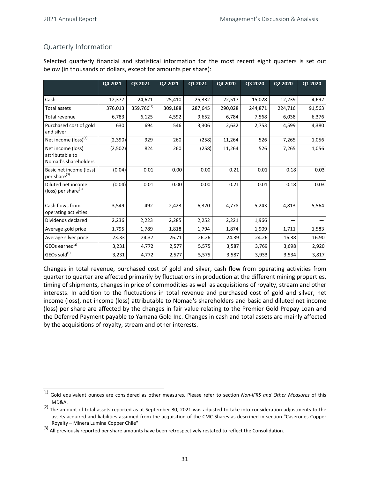## <span id="page-30-0"></span>Quarterly Information

Selected quarterly financial and statistical information for the most recent eight quarters is set out below (in thousands of dollars, except for amounts per share):

|                                                              | Q4 2021 | Q3 2021         | Q2 2021 | Q1 2021<br>Q4 2020 |         | Q3 2020 | Q2 2020 | Q1 2020 |
|--------------------------------------------------------------|---------|-----------------|---------|--------------------|---------|---------|---------|---------|
|                                                              |         |                 |         |                    |         |         |         |         |
| Cash                                                         | 12,377  | 24,621          | 25,410  | 25,332             | 22,517  | 15,028  | 12,239  | 4,692   |
| <b>Total assets</b>                                          | 376,013 | $359,766^{(2)}$ | 309,188 | 287,645            | 290,028 | 244,871 | 224,716 | 91,563  |
| Total revenue                                                | 6,783   | 6,125           | 4,592   | 9,652              | 6,784   | 7,568   | 6,038   | 6,376   |
| Purchased cost of gold<br>and silver                         | 630     | 694             | 546     | 3,306              | 2,632   | 2,753   | 4,599   | 4,380   |
| Net income (loss) <sup>(3)</sup>                             | (2,390) | 929             | 260     | (258)              | 11,264  | 526     | 7,265   | 1,056   |
| Net income (loss)<br>attributable to<br>Nomad's shareholders | (2,502) | 824             | 260     | (258)              | 11,264  | 526     | 7,265   | 1,056   |
| Basic net income (loss)<br>per share <sup>(3)</sup>          | (0.04)  | 0.01            | 0.00    | 0.00               | 0.21    | 0.01    | 0.18    | 0.03    |
| Diluted net income<br>(loss) per share <sup>(3)</sup>        | (0.04)  | 0.01            | 0.00    | 0.00               | 0.21    | 0.01    | 0.18    | 0.03    |
| Cash flows from<br>operating activities                      | 3,549   | 492             | 2,423   | 6,320              | 4,778   | 5,243   | 4,813   | 5,564   |
| Dividends declared                                           | 2,236   | 2,223           | 2,285   | 2,252              | 2,221   | 1,966   |         |         |
| Average gold price                                           | 1,795   | 1,789           | 1,818   | 1,794              | 1,874   | 1,909   | 1,711   | 1,583   |
| Average silver price                                         | 23.33   | 24.37           | 26.71   | 26.26              | 24.39   | 24.26   | 16.38   | 16.90   |
| GEOs earned <sup>(1)</sup>                                   | 3,231   | 4,772           | 2,577   | 5,575              | 3,587   | 3,769   | 3,698   | 2,920   |
| GEOs sold(1)                                                 | 3,231   | 4,772           | 2,577   | 5,575              | 3,587   | 3,933   | 3,534   | 3,817   |

Changes in total revenue, purchased cost of gold and silver, cash flow from operating activities from quarter to quarter are affected primarily by fluctuations in production at the different mining properties, timing of shipments, changes in price of commodities as well as acquisitions of royalty, stream and other interests. In addition to the fluctuations in total revenue and purchased cost of gold and silver, net income (loss), net income (loss) attributable to Nomad's shareholders and basic and diluted net income (loss) per share are affected by the changes in fair value relating to the Premier Gold Prepay Loan and the Deferred Payment payable to Yamana Gold Inc. Changes in cash and total assets are mainly affected by the acquisitions of royalty, stream and other interests.

<sup>(1)</sup> Gold equivalent ounces are considered as other measures. Please refer to section *Non-IFRS and Other Measures* of this MD&A.

<sup>(2)</sup> The amount of total assets reported as at September 30, 2021 was adjusted to take into consideration adjustments to the assets acquired and liabilities assumed from the acquisition of the CMC Shares as described in section "Caserones Copper Royalty - Minera Lumina Copper Chile"

 $^{(3)}$  All previously reported per share amounts have been retrospectively restated to reflect the Consolidation.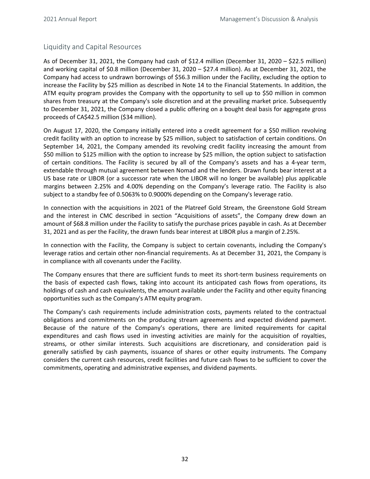## <span id="page-31-0"></span>Liquidity and Capital Resources

As of December 31, 2021, the Company had cash of \$12.4 million (December 31, 2020 – \$22.5 million) and working capital of \$0.8 million (December 31, 2020 – \$27.4 million). As at December 31, 2021, the Company had access to undrawn borrowings of \$56.3 million under the Facility, excluding the option to increase the Facility by \$25 million as described in Note 14 to the Financial Statements. In addition, the ATM equity program provides the Company with the opportunity to sell up to \$50 million in common shares from treasury at the Company's sole discretion and at the prevailing market price. Subsequently to December 31, 2021, the Company closed a public offering on a bought deal basis for aggregate gross proceeds of CA\$42.5 million (\$34 million).

On August 17, 2020, the Company initially entered into a credit agreement for a \$50 million revolving credit facility with an option to increase by \$25 million, subject to satisfaction of certain conditions. On September 14, 2021, the Company amended its revolving credit facility increasing the amount from \$50 million to \$125 million with the option to increase by \$25 million, the option subject to satisfaction of certain conditions. The Facility is secured by all of the Company's assets and has a 4-year term, extendable through mutual agreement between Nomad and the lenders. Drawn funds bear interest at a US base rate or LIBOR (or a successor rate when the LIBOR will no longer be available) plus applicable margins between 2.25% and 4.00% depending on the Company's leverage ratio. The Facility is also subject to a standby fee of 0.5063% to 0.9000% depending on the Company's leverage ratio.

In connection with the acquisitions in 2021 of the Platreef Gold Stream, the Greenstone Gold Stream and the interest in CMC described in section "Acquisitions of assets", the Company drew down an amount of \$68.8 million under the Facility to satisfy the purchase prices payable in cash. As at December 31, 2021 and as per the Facility, the drawn funds bear interest at LIBOR plus a margin of 2.25%.

In connection with the Facility, the Company is subject to certain covenants, including the Company's leverage ratios and certain other non-financial requirements. As at December 31, 2021, the Company is in compliance with all covenants under the Facility.

The Company ensures that there are sufficient funds to meet its short-term business requirements on the basis of expected cash flows, taking into account its anticipated cash flows from operations, its holdings of cash and cash equivalents, the amount available under the Facility and other equity financing opportunities such as the Company's ATM equity program.

The Company's cash requirements include administration costs, payments related to the contractual obligations and commitments on the producing stream agreements and expected dividend payment. Because of the nature of the Company's operations, there are limited requirements for capital expenditures and cash flows used in investing activities are mainly for the acquisition of royalties, streams, or other similar interests. Such acquisitions are discretionary, and consideration paid is generally satisfied by cash payments, issuance of shares or other equity instruments. The Company considers the current cash resources, credit facilities and future cash flows to be sufficient to cover the commitments, operating and administrative expenses, and dividend payments.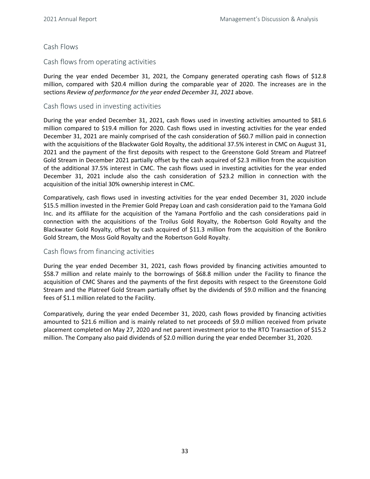## Cash Flows

## Cash flows from operating activities

During the year ended December 31, 2021, the Company generated operating cash flows of \$12.8 million, compared with \$20.4 million during the comparable year of 2020. The increases are in the sections Review of performance for the year ended December 31, 2021 above.

## Cash flows used in investing activities

During the year ended December 31, 2021, cash flows used in investing activities amounted to \$81.6 million compared to \$19.4 million for 2020. Cash flows used in investing activities for the year ended December 31, 2021 are mainly comprised of the cash consideration of \$60.7 million paid in connection with the acquisitions of the Blackwater Gold Royalty, the additional 37.5% interest in CMC on August 31, 2021 and the payment of the first deposits with respect to the Greenstone Gold Stream and Platreef Gold Stream in December 2021 partially offset by the cash acquired of \$2.3 million from the acquisition of the additional 37.5% interest in CMC. The cash flows used in investing activities for the year ended December 31, 2021 include also the cash consideration of \$23.2 million in connection with the acquisition of the initial 30% ownership interest in CMC.

Comparatively, cash flows used in investing activities for the year ended December 31, 2020 include \$15.5 million invested in the Premier Gold Prepay Loan and cash consideration paid to the Yamana Gold Inc. and its affiliate for the acquisition of the Yamana Portfolio and the cash considerations paid in connection with the acquisitions of the Troilus Gold Royalty, the Robertson Gold Royalty and the Blackwater Gold Royalty, offset by cash acquired of \$11.3 million from the acquisition of the Bonikro Gold Stream, the Moss Gold Royalty and the Robertson Gold Royalty.

#### Cash flows from financing activities

During the year ended December 31, 2021, cash flows provided by financing activities amounted to \$58.7 million and relate mainly to the borrowings of \$68.8 million under the Facility to finance the acquisition of CMC Shares and the payments of the first deposits with respect to the Greenstone Gold Stream and the Platreef Gold Stream partially offset by the dividends of \$9.0 million and the financing fees of \$1.1 million related to the Facility.

Comparatively, during the year ended December 31, 2020, cash flows provided by financing activities amounted to \$21.6 million and is mainly related to net proceeds of \$9.0 million received from private placement completed on May 27, 2020 and net parent investment prior to the RTO Transaction of \$15.2 million. The Company also paid dividends of \$2.0 million during the year ended December 31, 2020.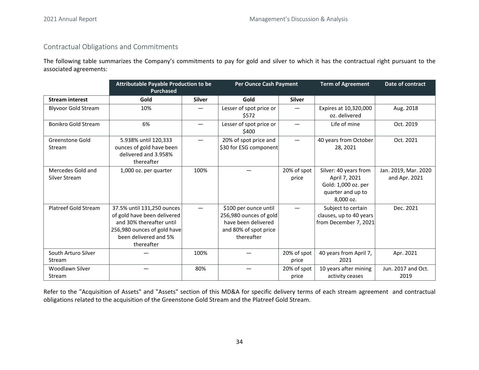## <span id="page-33-0"></span>Contractual Obligations and Commitments

The following table summarizes the Company's commitments to pay for gold and silver to which it has the contractual right pursuant to the associated agreements:

|                                    | <b>Attributable Payable Production to be</b><br><b>Purchased</b>                                                                                            |               | <b>Per Ounce Cash Payment</b>                                                                                 |                      | <b>Term of Agreement</b>                                                                        | Date of contract                      |
|------------------------------------|-------------------------------------------------------------------------------------------------------------------------------------------------------------|---------------|---------------------------------------------------------------------------------------------------------------|----------------------|-------------------------------------------------------------------------------------------------|---------------------------------------|
| <b>Stream interest</b>             | Gold                                                                                                                                                        | <b>Silver</b> | Gold                                                                                                          | <b>Silver</b>        |                                                                                                 |                                       |
| <b>Blyvoor Gold Stream</b>         | 10%                                                                                                                                                         |               | Lesser of spot price or<br>\$572                                                                              |                      | Expires at 10,320,000<br>oz. delivered                                                          | Aug. 2018                             |
| Bonikro Gold Stream                | 6%                                                                                                                                                          |               | Lesser of spot price or<br>\$400                                                                              |                      | Life of mine                                                                                    | Oct. 2019                             |
| <b>Greenstone Gold</b><br>Stream   | 5.938% until 120,333<br>ounces of gold have been<br>delivered and 3.958%<br>thereafter                                                                      |               | 20% of spot price and<br>\$30 for ESG component                                                               |                      | 40 years from October<br>28, 2021                                                               | Oct. 2021                             |
| Mercedes Gold and<br>Silver Stream | 1,000 oz. per quarter                                                                                                                                       | 100%          |                                                                                                               | 20% of spot<br>price | Silver: 40 years from<br>April 7, 2021<br>Gold: 1,000 oz. per<br>quarter and up to<br>8,000 oz. | Jan. 2019, Mar. 2020<br>and Apr. 2021 |
| Platreef Gold Stream               | 37.5% until 131,250 ounces<br>of gold have been delivered<br>and 30% thereafter until<br>256,980 ounces of gold have<br>been delivered and 5%<br>thereafter |               | \$100 per ounce until<br>256,980 ounces of gold<br>have been delivered<br>and 80% of spot price<br>thereafter |                      | Subject to certain<br>clauses, up to 40 years<br>from December 7, 2021                          | Dec. 2021                             |
| South Arturo Silver<br>Stream      |                                                                                                                                                             | 100%          |                                                                                                               | 20% of spot<br>price | 40 years from April 7,<br>2021                                                                  | Apr. 2021                             |
| Woodlawn Silver<br><b>Stream</b>   |                                                                                                                                                             | 80%           |                                                                                                               | 20% of spot<br>price | 10 years after mining<br>activity ceases                                                        | Jun. 2017 and Oct.<br>2019            |

Refer to the "Acquisition of Assets" and "Assets" section of this MD&A for specific delivery terms of each stream agreement and contractual obligations related to the acquisition of the Greenstone Gold Stream and the Platreef Gold Stream.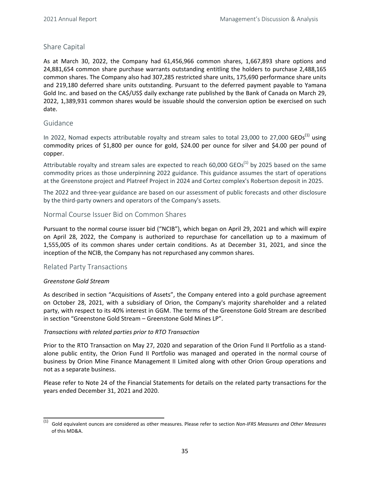## <span id="page-34-0"></span>Share Capital

As at March 30, 2022, the Company had 61,456,966 common shares, 1,667,893 share options and 24,881,654 common share purchase warrants outstanding entitling the holders to purchase 2,488,165 common shares. The Company also had 307,285 restricted share units, 175,690 performance share units and 219,180 deferred share units outstanding. Pursuant to the deferred payment payable to Yamana Gold Inc. and based on the CA\$/US\$ daily exchange rate published by the Bank of Canada on March 29, 2022, 1,389,931 common shares would be issuable should the conversion option be exercised on such date. 

## Guidance

In 2022, Nomad expects attributable royalty and stream sales to total 23,000 to 27,000  $GEOs^{(1)}$  using commodity prices of \$1,800 per ounce for gold, \$24.00 per ounce for silver and \$4.00 per pound of copper. 

Attributable royalty and stream sales are expected to reach 60,000 GEOs<sup>(1)</sup> by 2025 based on the same commodity prices as those underpinning 2022 guidance. This guidance assumes the start of operations at the Greenstone project and Platreef Project in 2024 and Cortez complex's Robertson deposit in 2025.

The 2022 and three-year guidance are based on our assessment of public forecasts and other disclosure by the third-party owners and operators of the Company's assets.

## Normal Course Issuer Bid on Common Shares

Pursuant to the normal course issuer bid ("NCIB"), which began on April 29, 2021 and which will expire on April 28, 2022, the Company is authorized to repurchase for cancellation up to a maximum of 1,555,005 of its common shares under certain conditions. As at December 31, 2021, and since the inception of the NCIB, the Company has not repurchased any common shares.

#### Related Party Transactions

#### *Greenstone Gold Stream*

As described in section "Acquisitions of Assets", the Company entered into a gold purchase agreement on October 28, 2021, with a subsidiary of Orion, the Company's majority shareholder and a related party, with respect to its 40% interest in GGM. The terms of the Greenstone Gold Stream are described in section "Greenstone Gold Stream - Greenstone Gold Mines LP".

#### *Transactions with related parties prior to RTO Transaction*

Prior to the RTO Transaction on May 27, 2020 and separation of the Orion Fund II Portfolio as a standalone public entity, the Orion Fund II Portfolio was managed and operated in the normal course of business by Orion Mine Finance Management II Limited along with other Orion Group operations and not as a separate business.

Please refer to Note 24 of the Financial Statements for details on the related party transactions for the years ended December 31, 2021 and 2020.

<sup>(1)</sup> Gold equivalent ounces are considered as other measures. Please refer to section *Non-IFRS Measures and Other Measures* of this MD&A.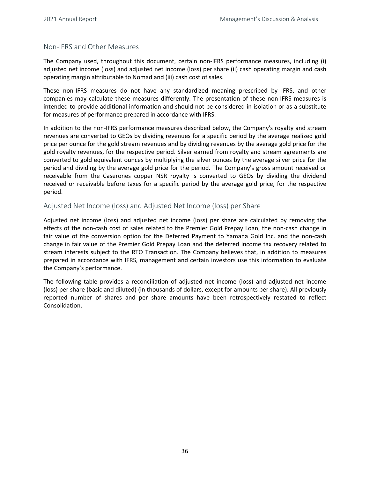## <span id="page-35-0"></span>Non-IFRS and Other Measures

The Company used, throughout this document, certain non-IFRS performance measures, including (i) adjusted net income (loss) and adjusted net income (loss) per share (ii) cash operating margin and cash operating margin attributable to Nomad and (iii) cash cost of sales.

These non-IFRS measures do not have any standardized meaning prescribed by IFRS, and other companies may calculate these measures differently. The presentation of these non-IFRS measures is intended to provide additional information and should not be considered in isolation or as a substitute for measures of performance prepared in accordance with IFRS.

In addition to the non-IFRS performance measures described below, the Company's royalty and stream revenues are converted to GEOs by dividing revenues for a specific period by the average realized gold price per ounce for the gold stream revenues and by dividing revenues by the average gold price for the gold royalty revenues, for the respective period. Silver earned from royalty and stream agreements are converted to gold equivalent ounces by multiplying the silver ounces by the average silver price for the period and dividing by the average gold price for the period. The Company's gross amount received or receivable from the Caserones copper NSR royalty is converted to GEOs by dividing the dividend received or receivable before taxes for a specific period by the average gold price, for the respective period.

## Adjusted Net Income (loss) and Adjusted Net Income (loss) per Share

Adjusted net income (loss) and adjusted net income (loss) per share are calculated by removing the effects of the non-cash cost of sales related to the Premier Gold Prepay Loan, the non-cash change in fair value of the conversion option for the Deferred Payment to Yamana Gold Inc. and the non-cash change in fair value of the Premier Gold Prepay Loan and the deferred income tax recovery related to stream interests subject to the RTO Transaction. The Company believes that, in addition to measures prepared in accordance with IFRS, management and certain investors use this information to evaluate the Company's performance.

The following table provides a reconciliation of adjusted net income (loss) and adjusted net income (loss) per share (basic and diluted) (in thousands of dollars, except for amounts per share). All previously reported number of shares and per share amounts have been retrospectively restated to reflect Consolidation.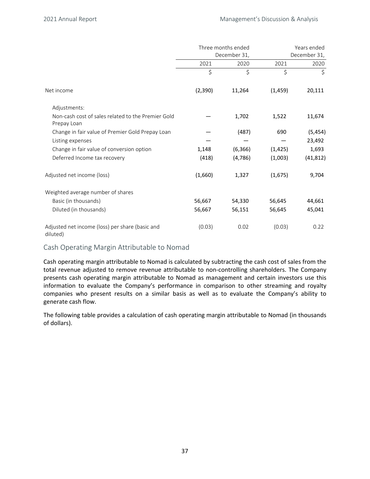|                                                                   | Three months ended<br>December 31, |          | Years ended<br>December 31, |           |
|-------------------------------------------------------------------|------------------------------------|----------|-----------------------------|-----------|
|                                                                   | 2021                               | 2020     | 2021                        | 2020      |
|                                                                   | \$                                 | \$       | $\zeta$                     | \$        |
| Net income                                                        | (2,390)                            | 11,264   | (1, 459)                    | 20,111    |
| Adjustments:                                                      |                                    |          |                             |           |
| Non-cash cost of sales related to the Premier Gold<br>Prepay Loan |                                    | 1,702    | 1,522                       | 11,674    |
| Change in fair value of Premier Gold Prepay Loan                  |                                    | (487)    | 690                         | (5, 454)  |
| Listing expenses                                                  |                                    |          |                             | 23,492    |
| Change in fair value of conversion option                         | 1,148                              | (6, 366) | (1, 425)                    | 1,693     |
| Deferred Income tax recovery                                      | (418)                              | (4,786)  | (1,003)                     | (41, 812) |
| Adjusted net income (loss)                                        | (1,660)                            | 1,327    | (1,675)                     | 9,704     |
| Weighted average number of shares                                 |                                    |          |                             |           |
| Basic (in thousands)                                              | 56,667                             | 54,330   | 56,645                      | 44,661    |
| Diluted (in thousands)                                            | 56,667                             | 56,151   | 56,645                      | 45,041    |
| Adjusted net income (loss) per share (basic and<br>diluted)       | (0.03)                             | 0.02     | (0.03)                      | 0.22      |

#### Cash Operating Margin Attributable to Nomad

Cash operating margin attributable to Nomad is calculated by subtracting the cash cost of sales from the total revenue adjusted to remove revenue attributable to non-controlling shareholders. The Company presents cash operating margin attributable to Nomad as management and certain investors use this information to evaluate the Company's performance in comparison to other streaming and royalty companies who present results on a similar basis as well as to evaluate the Company's ability to generate cash flow.

The following table provides a calculation of cash operating margin attributable to Nomad (in thousands of dollars).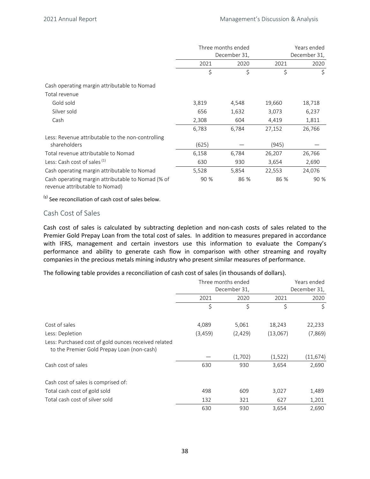|                                                                                     | Three months ended<br>December 31, |       | Years ended<br>December 31, |        |
|-------------------------------------------------------------------------------------|------------------------------------|-------|-----------------------------|--------|
|                                                                                     | 2021                               | 2020  | 2021                        | 2020   |
|                                                                                     | \$                                 | \$    | \$                          | \$     |
| Cash operating margin attributable to Nomad                                         |                                    |       |                             |        |
| Total revenue                                                                       |                                    |       |                             |        |
| Gold sold                                                                           | 3,819                              | 4,548 | 19,660                      | 18,718 |
| Silver sold                                                                         | 656                                | 1,632 | 3,073                       | 6,237  |
| Cash                                                                                | 2,308                              | 604   | 4,419                       | 1,811  |
|                                                                                     | 6,783                              | 6,784 | 27,152                      | 26,766 |
| Less: Revenue attributable to the non-controlling                                   |                                    |       |                             |        |
| shareholders                                                                        | (625)                              |       | (945)                       |        |
| Total revenue attributable to Nomad                                                 | 6,158                              | 6,784 | 26,207                      | 26,766 |
| Less: Cash cost of sales <sup>(1)</sup>                                             | 630                                | 930   | 3,654                       | 2,690  |
| Cash operating margin attributable to Nomad                                         | 5,528                              | 5,854 | 22,553                      | 24,076 |
| Cash operating margin attributable to Nomad (% of<br>revenue attributable to Nomad) | 90 %                               | 86 %  | 86 %                        | 90 %   |

 $<sup>(1)</sup>$  See reconciliation of cash cost of sales below.</sup>

## Cash Cost of Sales

Cash cost of sales is calculated by subtracting depletion and non-cash costs of sales related to the Premier Gold Prepay Loan from the total cost of sales. In addition to measures prepared in accordance with IFRS, management and certain investors use this information to evaluate the Company's performance and ability to generate cash flow in comparison with other streaming and royalty companies in the precious metals mining industry who present similar measures of performance.

The following table provides a reconciliation of cash cost of sales (in thousands of dollars).

|                                                                                                    | Three months ended<br>December 31, |         | Years ended<br>December 31, |           |
|----------------------------------------------------------------------------------------------------|------------------------------------|---------|-----------------------------|-----------|
|                                                                                                    |                                    |         |                             |           |
|                                                                                                    | 2021                               | 2020    | 2021                        | 2020      |
|                                                                                                    | \$                                 | \$      | \$                          | \$        |
| Cost of sales                                                                                      | 4,089                              | 5,061   | 18,243                      | 22,233    |
| Less: Depletion                                                                                    | (3, 459)                           | (2,429) | (13,067)                    | (7,869)   |
| Less: Purchased cost of gold ounces received related<br>to the Premier Gold Prepay Loan (non-cash) |                                    |         |                             |           |
|                                                                                                    |                                    | (1,702) | (1,522)                     | (11, 674) |
| Cash cost of sales                                                                                 | 630                                | 930     | 3,654                       | 2,690     |
| Cash cost of sales is comprised of:                                                                |                                    |         |                             |           |
| Total cash cost of gold sold                                                                       | 498                                | 609     | 3,027                       | 1,489     |
| Total cash cost of silver sold                                                                     | 132                                | 321     | 627                         | 1,201     |
|                                                                                                    | 630                                | 930     | 3,654                       | 2,690     |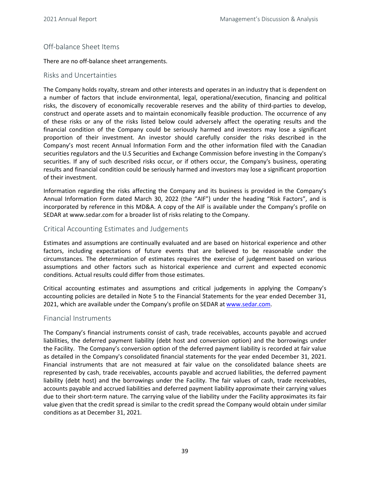## <span id="page-38-0"></span>Off-balance Sheet Items

There are no off-balance sheet arrangements.

## Risks and Uncertainties

The Company holds royalty, stream and other interests and operates in an industry that is dependent on a number of factors that include environmental, legal, operational/execution, financing and political risks, the discovery of economically recoverable reserves and the ability of third-parties to develop, construct and operate assets and to maintain economically feasible production. The occurrence of any of these risks or any of the risks listed below could adversely affect the operating results and the financial condition of the Company could be seriously harmed and investors may lose a significant proportion of their investment. An investor should carefully consider the risks described in the Company's most recent Annual Information Form and the other information filed with the Canadian securities regulators and the U.S Securities and Exchange Commission before investing in the Company's securities. If any of such described risks occur, or if others occur, the Company's business, operating results and financial condition could be seriously harmed and investors may lose a significant proportion of their investment.

Information regarding the risks affecting the Company and its business is provided in the Company's Annual Information Form dated March 30, 2022 (the "AIF") under the heading "Risk Factors", and is incorporated by reference in this MD&A. A copy of the AIF is available under the Company's profile on SEDAR at www.sedar.com for a broader list of risks relating to the Company.

## Critical Accounting Estimates and Judgements

Estimates and assumptions are continually evaluated and are based on historical experience and other factors, including expectations of future events that are believed to be reasonable under the circumstances. The determination of estimates requires the exercise of judgement based on various assumptions and other factors such as historical experience and current and expected economic conditions. Actual results could differ from those estimates.

Critical accounting estimates and assumptions and critical judgements in applying the Company's accounting policies are detailed in Note 5 to the Financial Statements for the year ended December 31, 2021, which are available under the Company's profile on SEDAR at www.sedar.com.

## Financial Instruments

The Company's financial instruments consist of cash, trade receivables, accounts payable and accrued liabilities, the deferred payment liability (debt host and conversion option) and the borrowings under the Facility. The Company's conversion option of the deferred payment liability is recorded at fair value as detailed in the Company's consolidated financial statements for the year ended December 31, 2021. Financial instruments that are not measured at fair value on the consolidated balance sheets are represented by cash, trade receivables, accounts payable and accrued liabilities, the deferred payment liability (debt host) and the borrowings under the Facility. The fair values of cash, trade receivables, accounts payable and accrued liabilities and deferred payment liability approximate their carrying values due to their short-term nature. The carrying value of the liability under the Facility approximates its fair value given that the credit spread is similar to the credit spread the Company would obtain under similar conditions as at December 31, 2021.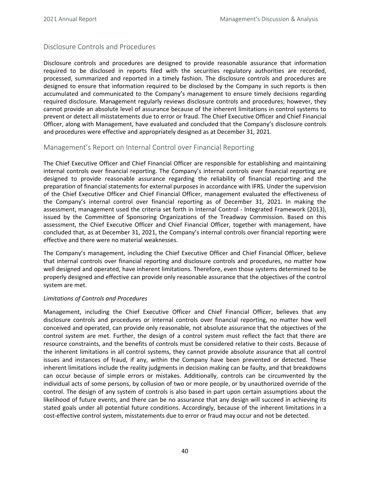## <span id="page-39-0"></span>Disclosure Controls and Procedures

Disclosure controls and procedures are designed to provide reasonable assurance that information required to be disclosed in reports filed with the securities regulatory authorities are recorded, processed, summarized and reported in a timely fashion. The disclosure controls and procedures are designed to ensure that information required to be disclosed by the Company in such reports is then accumulated and communicated to the Company's management to ensure timely decisions regarding required disclosure. Management regularly reviews disclosure controls and procedures; however, they cannot provide an absolute level of assurance because of the inherent limitations in control systems to prevent or detect all misstatements due to error or fraud. The Chief Executive Officer and Chief Financial Officer, along with Management, have evaluated and concluded that the Company's disclosure controls and procedures were effective and appropriately designed as at December 31, 2021.

## Management's Report on Internal Control over Financial Reporting

The Chief Executive Officer and Chief Financial Officer are responsible for establishing and maintaining internal controls over financial reporting. The Company's internal controls over financial reporting are designed to provide reasonable assurance regarding the reliability of financial reporting and the preparation of financial statements for external purposes in accordance with IFRS. Under the supervision of the Chief Executive Officer and Chief Financial Officer, management evaluated the effectiveness of the Company's internal control over financial reporting as of December 31, 2021. In making the assessment, management used the criteria set forth in Internal Control - Integrated Framework (2013), issued by the Committee of Sponsoring Organizations of the Treadway Commission. Based on this assessment, the Chief Executive Officer and Chief Financial Officer, together with management, have concluded that, as at December 31, 2021, the Company's internal controls over financial reporting were effective and there were no material weaknesses.

The Company's management, including the Chief Executive Officer and Chief Financial Officer, believe that internal controls over financial reporting and disclosure controls and procedures, no matter how well designed and operated, have inherent limitations. Therefore, even those systems determined to be properly designed and effective can provide only reasonable assurance that the objectives of the control system are met.

#### *Limitations of Controls and Procedures*

Management, including the Chief Executive Officer and Chief Financial Officer, believes that any disclosure controls and procedures or internal controls over financial reporting, no matter how well conceived and operated, can provide only reasonable, not absolute assurance that the objectives of the control system are met. Further, the design of a control system must reflect the fact that there are resource constraints, and the benefits of controls must be considered relative to their costs. Because of the inherent limitations in all control systems, they cannot provide absolute assurance that all control issues and instances of fraud, if any, within the Company have been prevented or detected. These inherent limitations include the reality judgments in decision making can be faulty, and that breakdowns can occur because of simple errors or mistakes. Additionally, controls can be circumvented by the individual acts of some persons, by collusion of two or more people, or by unauthorized override of the control. The design of any system of controls is also based in part upon certain assumptions about the likelihood of future events, and there can be no assurance that any design will succeed in achieving its stated goals under all potential future conditions. Accordingly, because of the inherent limitations in a cost-effective control system, misstatements due to error or fraud may occur and not be detected.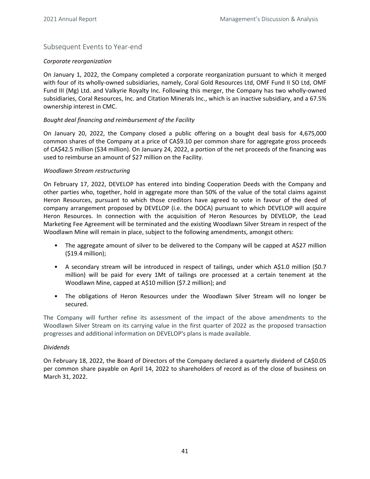## <span id="page-40-0"></span>Subsequent Events to Year-end

#### *Corporate reorganization*

On January 1, 2022, the Company completed a corporate reorganization pursuant to which it merged with four of its wholly-owned subsidiaries, namely, Coral Gold Resources Ltd, OMF Fund II SO Ltd, OMF Fund III (Mg) Ltd. and Valkyrie Royalty Inc. Following this merger, the Company has two wholly-owned subsidiaries, Coral Resources, Inc. and Citation Minerals Inc., which is an inactive subsidiary, and a 67.5% ownership interest in CMC.

#### Bought deal financing and reimbursement of the Facility

On January 20, 2022, the Company closed a public offering on a bought deal basis for 4,675,000 common shares of the Company at a price of CA\$9.10 per common share for aggregate gross proceeds of CA\$42.5 million (\$34 million). On January 24, 2022, a portion of the net proceeds of the financing was used to reimburse an amount of \$27 million on the Facility.

#### *Woodlawn Stream restructuring*

On February 17, 2022, DEVELOP has entered into binding Cooperation Deeds with the Company and other parties who, together, hold in aggregate more than 50% of the value of the total claims against Heron Resources, pursuant to which those creditors have agreed to vote in favour of the deed of company arrangement proposed by DEVELOP (i.e. the DOCA) pursuant to which DEVELOP will acquire Heron Resources. In connection with the acquisition of Heron Resources by DEVELOP, the Lead Marketing Fee Agreement will be terminated and the existing Woodlawn Silver Stream in respect of the Woodlawn Mine will remain in place, subject to the following amendments, amongst others:

- The aggregate amount of silver to be delivered to the Company will be capped at A\$27 million  $(519.4$  million);
- A secondary stream will be introduced in respect of tailings, under which A\$1.0 million (\$0.7) million) will be paid for every 1Mt of tailings ore processed at a certain tenement at the Woodlawn Mine, capped at A\$10 million (\$7.2 million); and
- The obligations of Heron Resources under the Woodlawn Silver Stream will no longer be secured.

The Company will further refine its assessment of the impact of the above amendments to the Woodlawn Silver Stream on its carrying value in the first quarter of 2022 as the proposed transaction progresses and additional information on DEVELOP's plans is made available.

#### *Dividends*

On February 18, 2022, the Board of Directors of the Company declared a quarterly dividend of CA\$0.05 per common share payable on April 14, 2022 to shareholders of record as of the close of business on March 31, 2022.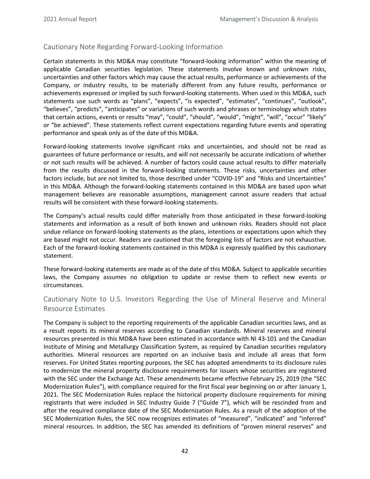## <span id="page-41-0"></span>Cautionary Note Regarding Forward-Looking Information

Certain statements in this MD&A may constitute "forward-looking information" within the meaning of applicable Canadian securities legislation. These statements involve known and unknown risks, uncertainties and other factors which may cause the actual results, performance or achievements of the Company, or industry results, to be materially different from any future results, performance or achievements expressed or implied by such forward-looking statements. When used in this MD&A, such statements use such words as "plans", "expects", "is expected", "estimates", "continues", "outlook", "believes", "predicts", "anticipates" or variations of such words and phrases or terminology which states that certain actions, events or results "may", "could", "should", "would", "might", "will", "occur" "likely" or "be achieved". These statements reflect current expectations regarding future events and operating performance and speak only as of the date of this MD&A.

Forward-looking statements involve significant risks and uncertainties, and should not be read as guarantees of future performance or results, and will not necessarily be accurate indications of whether or not such results will be achieved. A number of factors could cause actual results to differ materially from the results discussed in the forward-looking statements. These risks, uncertainties and other factors include, but are not limited to, those described under "COVID-19" and "Risks and Uncertainties" in this MD&A. Although the forward-looking statements contained in this MD&A are based upon what management believes are reasonable assumptions, management cannot assure readers that actual results will be consistent with these forward-looking statements.

The Company's actual results could differ materially from those anticipated in these forward-looking statements and information as a result of both known and unknown risks. Readers should not place undue reliance on forward-looking statements as the plans, intentions or expectations upon which they are based might not occur. Readers are cautioned that the foregoing lists of factors are not exhaustive. Each of the forward-looking statements contained in this MD&A is expressly qualified by this cautionary statement. 

These forward-looking statements are made as of the date of this MD&A. Subject to applicable securities laws, the Company assumes no obligation to update or revise them to reflect new events or circumstances.

## Cautionary Note to U.S. Investors Regarding the Use of Mineral Reserve and Mineral Resource Estimates

The Company is subject to the reporting requirements of the applicable Canadian securities laws, and as a result reports its mineral reserves according to Canadian standards. Mineral reserves and mineral resources presented in this MD&A have been estimated in accordance with NI 43-101 and the Canadian Institute of Mining and Metallurgy Classification System, as required by Canadian securities regulatory authorities. Mineral resources are reported on an inclusive basis and include all areas that form reserves. For United States reporting purposes, the SEC has adopted amendments to its disclosure rules to modernize the mineral property disclosure requirements for issuers whose securities are registered with the SEC under the Exchange Act. These amendments became effective February 25, 2019 (the "SEC Modernization Rules"), with compliance required for the first fiscal year beginning on or after January 1, 2021. The SEC Modernization Rules replace the historical property disclosure requirements for mining registrants that were included in SEC Industry Guide 7 ("Guide 7"), which will be rescinded from and after the required compliance date of the SEC Modernization Rules. As a result of the adoption of the SEC Modernization Rules, the SEC now recognizes estimates of "measured", "indicated" and "inferred" mineral resources. In addition, the SEC has amended its definitions of "proven mineral reserves" and